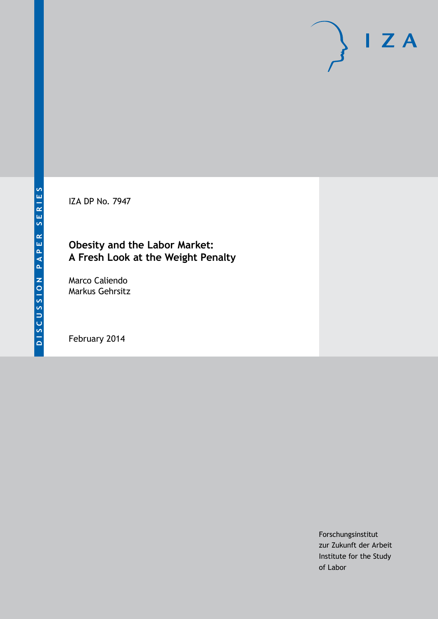IZA DP No. 7947

# **Obesity and the Labor Market: A Fresh Look at the Weight Penalty**

Marco Caliendo Markus Gehrsitz

February 2014

Forschungsinstitut zur Zukunft der Arbeit Institute for the Study of Labor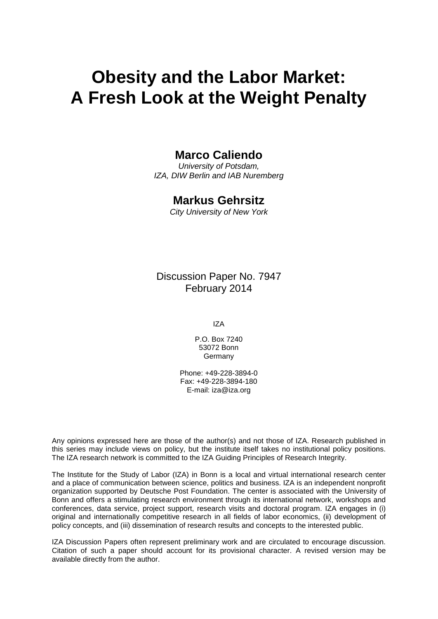# **Obesity and the Labor Market: A Fresh Look at the Weight Penalty**

# **Marco Caliendo**

*University of Potsdam, IZA, DIW Berlin and IAB Nuremberg*

# **Markus Gehrsitz**

*City University of New York*

Discussion Paper No. 7947 February 2014

IZA

P.O. Box 7240 53072 Bonn Germany

Phone: +49-228-3894-0 Fax: +49-228-3894-180 E-mail: [iza@iza.org](mailto:iza@iza.org)

Any opinions expressed here are those of the author(s) and not those of IZA. Research published in this series may include views on policy, but the institute itself takes no institutional policy positions. The IZA research network is committed to the IZA Guiding Principles of Research Integrity.

The Institute for the Study of Labor (IZA) in Bonn is a local and virtual international research center and a place of communication between science, politics and business. IZA is an independent nonprofit organization supported by Deutsche Post Foundation. The center is associated with the University of Bonn and offers a stimulating research environment through its international network, workshops and conferences, data service, project support, research visits and doctoral program. IZA engages in (i) original and internationally competitive research in all fields of labor economics, (ii) development of policy concepts, and (iii) dissemination of research results and concepts to the interested public.

<span id="page-1-0"></span>IZA Discussion Papers often represent preliminary work and are circulated to encourage discussion. Citation of such a paper should account for its provisional character. A revised version may be available directly from the author.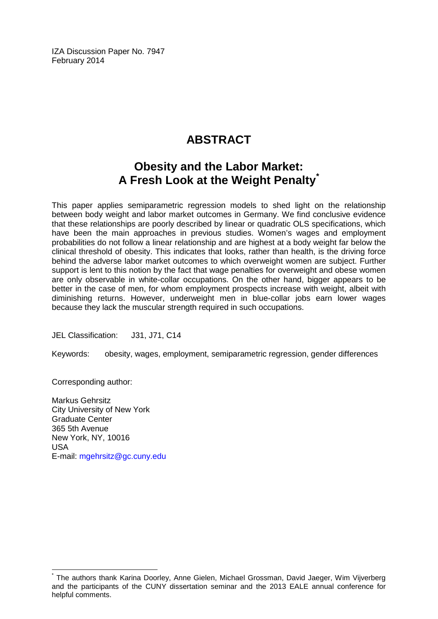IZA Discussion Paper No. 7947 February 2014

# **ABSTRACT**

# **Obesity and the Labor Market: A Fresh Look at the Weight Penalty[\\*](#page-1-0)**

This paper applies semiparametric regression models to shed light on the relationship between body weight and labor market outcomes in Germany. We find conclusive evidence that these relationships are poorly described by linear or quadratic OLS specifications, which have been the main approaches in previous studies. Women's wages and employment probabilities do not follow a linear relationship and are highest at a body weight far below the clinical threshold of obesity. This indicates that looks, rather than health, is the driving force behind the adverse labor market outcomes to which overweight women are subject. Further support is lent to this notion by the fact that wage penalties for overweight and obese women are only observable in white-collar occupations. On the other hand, bigger appears to be better in the case of men, for whom employment prospects increase with weight, albeit with diminishing returns. However, underweight men in blue-collar jobs earn lower wages because they lack the muscular strength required in such occupations.

JEL Classification: J31, J71, C14

Keywords: obesity, wages, employment, semiparametric regression, gender differences

Corresponding author:

Markus Gehrsitz City University of New York Graduate Center 365 5th Avenue New York, NY, 10016 USA E-mail: [mgehrsitz@gc.cuny.edu](mailto:mgehrsitz@gc.cuny.edu)

\* The authors thank Karina Doorley, Anne Gielen, Michael Grossman, David Jaeger, Wim Vijverberg and the participants of the CUNY dissertation seminar and the 2013 EALE annual conference for helpful comments.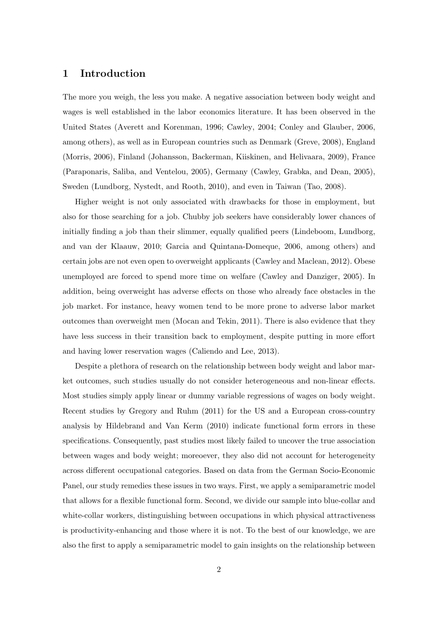### 1 Introduction

The more you weigh, the less you make. A negative association between body weight and wages is well established in the labor economics literature. It has been observed in the United States (Averett and Korenman, 1996; Cawley, 2004; Conley and Glauber, 2006, among others), as well as in European countries such as Denmark (Greve, 2008), England (Morris, 2006), Finland (Johansson, Backerman, Kiiskinen, and Helivaara, 2009), France (Paraponaris, Saliba, and Ventelou, 2005), Germany (Cawley, Grabka, and Dean, 2005), Sweden (Lundborg, Nystedt, and Rooth, 2010), and even in Taiwan (Tao, 2008).

Higher weight is not only associated with drawbacks for those in employment, but also for those searching for a job. Chubby job seekers have considerably lower chances of initially finding a job than their slimmer, equally qualified peers (Lindeboom, Lundborg, and van der Klaauw, 2010; Garcia and Quintana-Domeque, 2006, among others) and certain jobs are not even open to overweight applicants (Cawley and Maclean, 2012). Obese unemployed are forced to spend more time on welfare (Cawley and Danziger, 2005). In addition, being overweight has adverse effects on those who already face obstacles in the job market. For instance, heavy women tend to be more prone to adverse labor market outcomes than overweight men (Mocan and Tekin, 2011). There is also evidence that they have less success in their transition back to employment, despite putting in more effort and having lower reservation wages (Caliendo and Lee, 2013).

Despite a plethora of research on the relationship between body weight and labor market outcomes, such studies usually do not consider heterogeneous and non-linear effects. Most studies simply apply linear or dummy variable regressions of wages on body weight. Recent studies by Gregory and Ruhm (2011) for the US and a European cross-country analysis by Hildebrand and Van Kerm (2010) indicate functional form errors in these specifications. Consequently, past studies most likely failed to uncover the true association between wages and body weight; moreoever, they also did not account for heterogeneity across different occupational categories. Based on data from the German Socio-Economic Panel, our study remedies these issues in two ways. First, we apply a semiparametric model that allows for a flexible functional form. Second, we divide our sample into blue-collar and white-collar workers, distinguishing between occupations in which physical attractiveness is productivity-enhancing and those where it is not. To the best of our knowledge, we are also the first to apply a semiparametric model to gain insights on the relationship between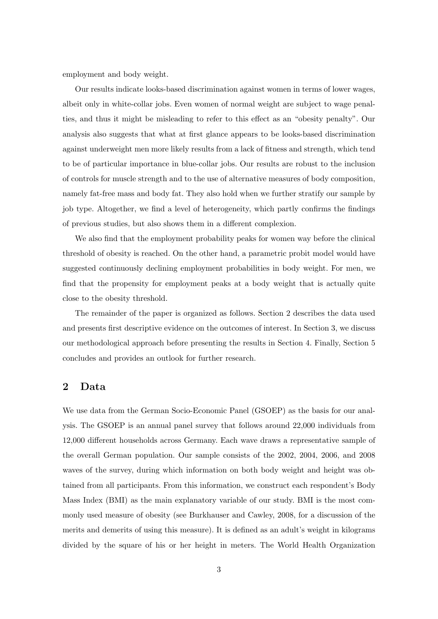employment and body weight.

Our results indicate looks-based discrimination against women in terms of lower wages, albeit only in white-collar jobs. Even women of normal weight are subject to wage penalties, and thus it might be misleading to refer to this effect as an "obesity penalty". Our analysis also suggests that what at first glance appears to be looks-based discrimination against underweight men more likely results from a lack of fitness and strength, which tend to be of particular importance in blue-collar jobs. Our results are robust to the inclusion of controls for muscle strength and to the use of alternative measures of body composition, namely fat-free mass and body fat. They also hold when we further stratify our sample by job type. Altogether, we find a level of heterogeneity, which partly confirms the findings of previous studies, but also shows them in a different complexion.

We also find that the employment probability peaks for women way before the clinical threshold of obesity is reached. On the other hand, a parametric probit model would have suggested continuously declining employment probabilities in body weight. For men, we find that the propensity for employment peaks at a body weight that is actually quite close to the obesity threshold.

The remainder of the paper is organized as follows. Section 2 describes the data used and presents first descriptive evidence on the outcomes of interest. In Section 3, we discuss our methodological approach before presenting the results in Section 4. Finally, Section 5 concludes and provides an outlook for further research.

# 2 Data

We use data from the German Socio-Economic Panel (GSOEP) as the basis for our analysis. The GSOEP is an annual panel survey that follows around 22,000 individuals from 12,000 different households across Germany. Each wave draws a representative sample of the overall German population. Our sample consists of the 2002, 2004, 2006, and 2008 waves of the survey, during which information on both body weight and height was obtained from all participants. From this information, we construct each respondent's Body Mass Index (BMI) as the main explanatory variable of our study. BMI is the most commonly used measure of obesity (see Burkhauser and Cawley, 2008, for a discussion of the merits and demerits of using this measure). It is defined as an adult's weight in kilograms divided by the square of his or her height in meters. The World Health Organization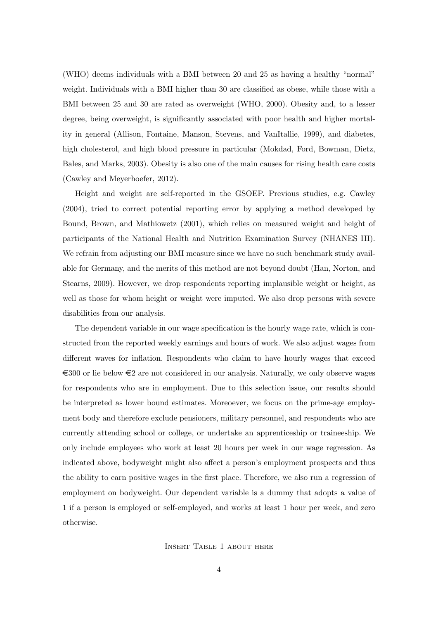(WHO) deems individuals with a BMI between 20 and 25 as having a healthy "normal" weight. Individuals with a BMI higher than 30 are classified as obese, while those with a BMI between 25 and 30 are rated as overweight (WHO, 2000). Obesity and, to a lesser degree, being overweight, is significantly associated with poor health and higher mortality in general (Allison, Fontaine, Manson, Stevens, and VanItallie, 1999), and diabetes, high cholesterol, and high blood pressure in particular (Mokdad, Ford, Bowman, Dietz, Bales, and Marks, 2003). Obesity is also one of the main causes for rising health care costs (Cawley and Meyerhoefer, 2012).

Height and weight are self-reported in the GSOEP. Previous studies, e.g. Cawley (2004), tried to correct potential reporting error by applying a method developed by Bound, Brown, and Mathiowetz (2001), which relies on measured weight and height of participants of the National Health and Nutrition Examination Survey (NHANES III). We refrain from adjusting our BMI measure since we have no such benchmark study available for Germany, and the merits of this method are not beyond doubt (Han, Norton, and Stearns, 2009). However, we drop respondents reporting implausible weight or height, as well as those for whom height or weight were imputed. We also drop persons with severe disabilities from our analysis.

The dependent variable in our wage specification is the hourly wage rate, which is constructed from the reported weekly earnings and hours of work. We also adjust wages from different waves for inflation. Respondents who claim to have hourly wages that exceed  $\epsilon$ 300 or lie below  $\epsilon$ 2 are not considered in our analysis. Naturally, we only observe wages for respondents who are in employment. Due to this selection issue, our results should be interpreted as lower bound estimates. Moreoever, we focus on the prime-age employment body and therefore exclude pensioners, military personnel, and respondents who are currently attending school or college, or undertake an apprenticeship or traineeship. We only include employees who work at least 20 hours per week in our wage regression. As indicated above, bodyweight might also affect a person's employment prospects and thus the ability to earn positive wages in the first place. Therefore, we also run a regression of employment on bodyweight. Our dependent variable is a dummy that adopts a value of 1 if a person is employed or self-employed, and works at least 1 hour per week, and zero otherwise.

#### Insert Table 1 about here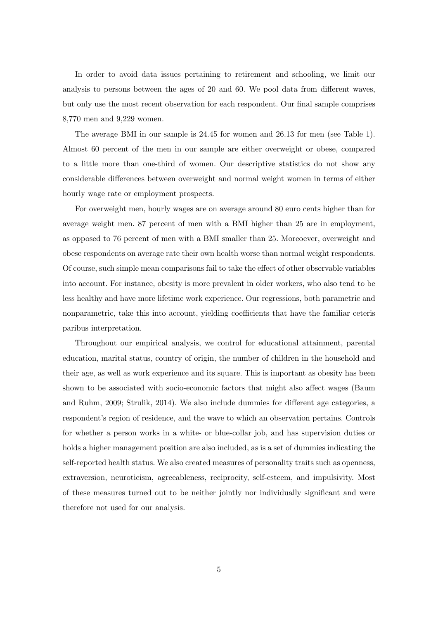In order to avoid data issues pertaining to retirement and schooling, we limit our analysis to persons between the ages of 20 and 60. We pool data from different waves, but only use the most recent observation for each respondent. Our final sample comprises 8,770 men and 9,229 women.

The average BMI in our sample is 24.45 for women and 26.13 for men (see Table 1). Almost 60 percent of the men in our sample are either overweight or obese, compared to a little more than one-third of women. Our descriptive statistics do not show any considerable differences between overweight and normal weight women in terms of either hourly wage rate or employment prospects.

For overweight men, hourly wages are on average around 80 euro cents higher than for average weight men. 87 percent of men with a BMI higher than 25 are in employment, as opposed to 76 percent of men with a BMI smaller than 25. Moreoever, overweight and obese respondents on average rate their own health worse than normal weight respondents. Of course, such simple mean comparisons fail to take the effect of other observable variables into account. For instance, obesity is more prevalent in older workers, who also tend to be less healthy and have more lifetime work experience. Our regressions, both parametric and nonparametric, take this into account, yielding coefficients that have the familiar ceteris paribus interpretation.

Throughout our empirical analysis, we control for educational attainment, parental education, marital status, country of origin, the number of children in the household and their age, as well as work experience and its square. This is important as obesity has been shown to be associated with socio-economic factors that might also affect wages (Baum and Ruhm, 2009; Strulik, 2014). We also include dummies for different age categories, a respondent's region of residence, and the wave to which an observation pertains. Controls for whether a person works in a white- or blue-collar job, and has supervision duties or holds a higher management position are also included, as is a set of dummies indicating the self-reported health status. We also created measures of personality traits such as openness, extraversion, neuroticism, agreeableness, reciprocity, self-esteem, and impulsivity. Most of these measures turned out to be neither jointly nor individually significant and were therefore not used for our analysis.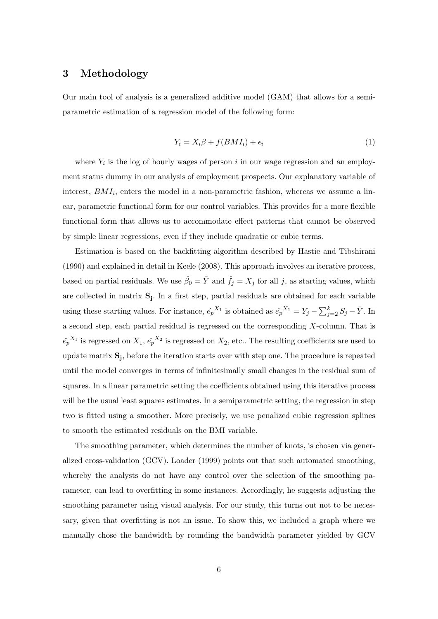### 3 Methodology

Our main tool of analysis is a generalized additive model (GAM) that allows for a semiparametric estimation of a regression model of the following form:

$$
Y_i = X_i \beta + f(BMI_i) + \epsilon_i \tag{1}
$$

where  $Y_i$  is the log of hourly wages of person i in our wage regression and an employment status dummy in our analysis of employment prospects. Our explanatory variable of interest,  $BMI_i$ , enters the model in a non-parametric fashion, whereas we assume a linear, parametric functional form for our control variables. This provides for a more flexible functional form that allows us to accommodate effect patterns that cannot be observed by simple linear regressions, even if they include quadratic or cubic terms.

Estimation is based on the backfitting algorithm described by Hastie and Tibshirani (1990) and explained in detail in Keele (2008). This approach involves an iterative process, based on partial residuals. We use  $\hat{\beta}_0 = \bar{Y}$  and  $\hat{f}_j = X_j$  for all j, as starting values, which are collected in matrix S<sup>j</sup> . In a first step, partial residuals are obtained for each variable using these starting values. For instance,  $\hat{e_p}^{X_1}$  is obtained as  $\hat{e_p}^{X_1} = Y_j - \sum_{j=2}^k S_j - \bar{Y}$ . In a second step, each partial residual is regressed on the corresponding  $X$ -column. That is  $\hat{e_p}^{X_1}$  is regressed on  $X_1, \hat{e_p}^{X_2}$  is regressed on  $X_2$ , etc.. The resulting coefficients are used to update matrix  $S_j$ , before the iteration starts over with step one. The procedure is repeated until the model converges in terms of infinitesimally small changes in the residual sum of squares. In a linear parametric setting the coefficients obtained using this iterative process will be the usual least squares estimates. In a semiparametric setting, the regression in step two is fitted using a smoother. More precisely, we use penalized cubic regression splines to smooth the estimated residuals on the BMI variable.

The smoothing parameter, which determines the number of knots, is chosen via generalized cross-validation (GCV). Loader (1999) points out that such automated smoothing, whereby the analysts do not have any control over the selection of the smoothing parameter, can lead to overfitting in some instances. Accordingly, he suggests adjusting the smoothing parameter using visual analysis. For our study, this turns out not to be necessary, given that overfitting is not an issue. To show this, we included a graph where we manually chose the bandwidth by rounding the bandwidth parameter yielded by GCV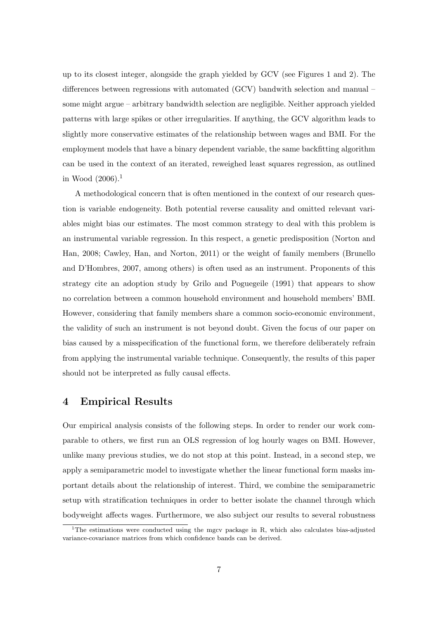up to its closest integer, alongside the graph yielded by GCV (see Figures 1 and 2). The differences between regressions with automated (GCV) bandwith selection and manual – some might argue – arbitrary bandwidth selection are negligible. Neither approach yielded patterns with large spikes or other irregularities. If anything, the GCV algorithm leads to slightly more conservative estimates of the relationship between wages and BMI. For the employment models that have a binary dependent variable, the same backfitting algorithm can be used in the context of an iterated, reweighed least squares regression, as outlined in Wood  $(2006).<sup>1</sup>$ 

A methodological concern that is often mentioned in the context of our research question is variable endogeneity. Both potential reverse causality and omitted relevant variables might bias our estimates. The most common strategy to deal with this problem is an instrumental variable regression. In this respect, a genetic predisposition (Norton and Han, 2008; Cawley, Han, and Norton, 2011) or the weight of family members (Brunello and D'Hombres, 2007, among others) is often used as an instrument. Proponents of this strategy cite an adoption study by Grilo and Poguegeile (1991) that appears to show no correlation between a common household environment and household members' BMI. However, considering that family members share a common socio-economic environment, the validity of such an instrument is not beyond doubt. Given the focus of our paper on bias caused by a misspecification of the functional form, we therefore deliberately refrain from applying the instrumental variable technique. Consequently, the results of this paper should not be interpreted as fully causal effects.

## 4 Empirical Results

Our empirical analysis consists of the following steps. In order to render our work comparable to others, we first run an OLS regression of log hourly wages on BMI. However, unlike many previous studies, we do not stop at this point. Instead, in a second step, we apply a semiparametric model to investigate whether the linear functional form masks important details about the relationship of interest. Third, we combine the semiparametric setup with stratification techniques in order to better isolate the channel through which bodyweight affects wages. Furthermore, we also subject our results to several robustness

<sup>&</sup>lt;sup>1</sup>The estimations were conducted using the mgcv package in R, which also calculates bias-adjusted variance-covariance matrices from which confidence bands can be derived.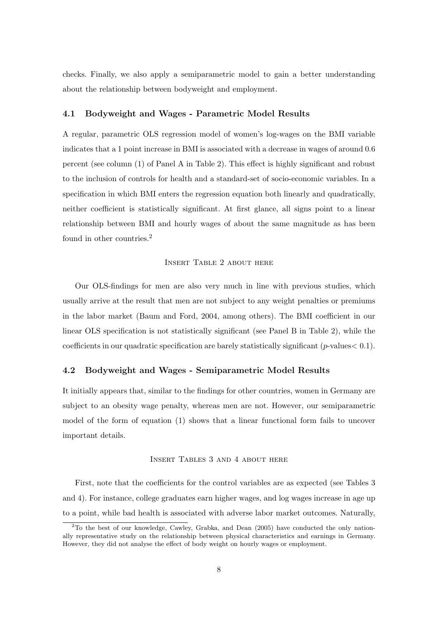checks. Finally, we also apply a semiparametric model to gain a better understanding about the relationship between bodyweight and employment.

#### 4.1 Bodyweight and Wages - Parametric Model Results

A regular, parametric OLS regression model of women's log-wages on the BMI variable indicates that a 1 point increase in BMI is associated with a decrease in wages of around 0.6 percent (see column (1) of Panel A in Table 2). This effect is highly significant and robust to the inclusion of controls for health and a standard-set of socio-economic variables. In a specification in which BMI enters the regression equation both linearly and quadratically, neither coefficient is statistically significant. At first glance, all signs point to a linear relationship between BMI and hourly wages of about the same magnitude as has been found in other countries.<sup>2</sup>

#### Insert Table 2 about here

Our OLS-findings for men are also very much in line with previous studies, which usually arrive at the result that men are not subject to any weight penalties or premiums in the labor market (Baum and Ford, 2004, among others). The BMI coefficient in our linear OLS specification is not statistically significant (see Panel B in Table 2), while the coefficients in our quadratic specification are barely statistically significant ( $p$ -values $< 0.1$ ).

#### 4.2 Bodyweight and Wages - Semiparametric Model Results

It initially appears that, similar to the findings for other countries, women in Germany are subject to an obesity wage penalty, whereas men are not. However, our semiparametric model of the form of equation (1) shows that a linear functional form fails to uncover important details.

#### Insert Tables 3 and 4 about here

First, note that the coefficients for the control variables are as expected (see Tables 3 and 4). For instance, college graduates earn higher wages, and log wages increase in age up to a point, while bad health is associated with adverse labor market outcomes. Naturally,

<sup>2</sup>To the best of our knowledge, Cawley, Grabka, and Dean (2005) have conducted the only nationally representative study on the relationship between physical characteristics and earnings in Germany. However, they did not analyse the effect of body weight on hourly wages or employment.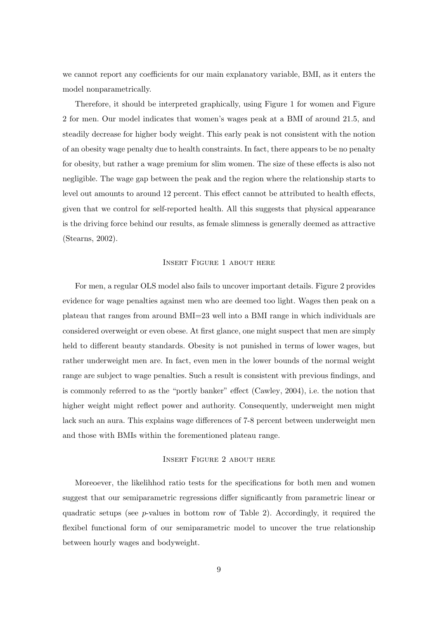we cannot report any coefficients for our main explanatory variable, BMI, as it enters the model nonparametrically.

Therefore, it should be interpreted graphically, using Figure 1 for women and Figure 2 for men. Our model indicates that women's wages peak at a BMI of around 21.5, and steadily decrease for higher body weight. This early peak is not consistent with the notion of an obesity wage penalty due to health constraints. In fact, there appears to be no penalty for obesity, but rather a wage premium for slim women. The size of these effects is also not negligible. The wage gap between the peak and the region where the relationship starts to level out amounts to around 12 percent. This effect cannot be attributed to health effects, given that we control for self-reported health. All this suggests that physical appearance is the driving force behind our results, as female slimness is generally deemed as attractive (Stearns, 2002).

#### Insert Figure 1 about here

For men, a regular OLS model also fails to uncover important details. Figure 2 provides evidence for wage penalties against men who are deemed too light. Wages then peak on a plateau that ranges from around BMI=23 well into a BMI range in which individuals are considered overweight or even obese. At first glance, one might suspect that men are simply held to different beauty standards. Obesity is not punished in terms of lower wages, but rather underweight men are. In fact, even men in the lower bounds of the normal weight range are subject to wage penalties. Such a result is consistent with previous findings, and is commonly referred to as the "portly banker" effect (Cawley, 2004), i.e. the notion that higher weight might reflect power and authority. Consequently, underweight men might lack such an aura. This explains wage differences of 7-8 percent between underweight men and those with BMIs within the forementioned plateau range.

#### Insert Figure 2 about here

Moreoever, the likelihhod ratio tests for the specifications for both men and women suggest that our semiparametric regressions differ significantly from parametric linear or quadratic setups (see  $p$ -values in bottom row of Table 2). Accordingly, it required the flexibel functional form of our semiparametric model to uncover the true relationship between hourly wages and bodyweight.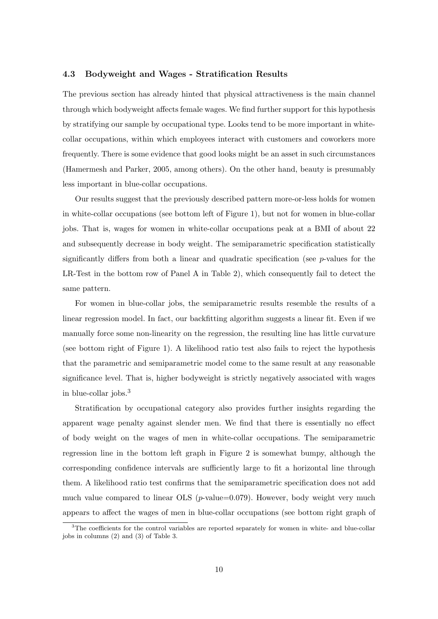#### 4.3 Bodyweight and Wages - Stratification Results

The previous section has already hinted that physical attractiveness is the main channel through which bodyweight affects female wages. We find further support for this hypothesis by stratifying our sample by occupational type. Looks tend to be more important in whitecollar occupations, within which employees interact with customers and coworkers more frequently. There is some evidence that good looks might be an asset in such circumstances (Hamermesh and Parker, 2005, among others). On the other hand, beauty is presumably less important in blue-collar occupations.

Our results suggest that the previously described pattern more-or-less holds for women in white-collar occupations (see bottom left of Figure 1), but not for women in blue-collar jobs. That is, wages for women in white-collar occupations peak at a BMI of about 22 and subsequently decrease in body weight. The semiparametric specification statistically significantly differs from both a linear and quadratic specification (see p-values for the LR-Test in the bottom row of Panel A in Table 2), which consequently fail to detect the same pattern.

For women in blue-collar jobs, the semiparametric results resemble the results of a linear regression model. In fact, our backfitting algorithm suggests a linear fit. Even if we manually force some non-linearity on the regression, the resulting line has little curvature (see bottom right of Figure 1). A likelihood ratio test also fails to reject the hypothesis that the parametric and semiparametric model come to the same result at any reasonable significance level. That is, higher bodyweight is strictly negatively associated with wages in blue-collar jobs.<sup>3</sup>

Stratification by occupational category also provides further insights regarding the apparent wage penalty against slender men. We find that there is essentially no effect of body weight on the wages of men in white-collar occupations. The semiparametric regression line in the bottom left graph in Figure 2 is somewhat bumpy, although the corresponding confidence intervals are sufficiently large to fit a horizontal line through them. A likelihood ratio test confirms that the semiparametric specification does not add much value compared to linear OLS  $(p$ -value=0.079). However, body weight very much appears to affect the wages of men in blue-collar occupations (see bottom right graph of

<sup>&</sup>lt;sup>3</sup>The coefficients for the control variables are reported separately for women in white- and blue-collar jobs in columns (2) and (3) of Table 3.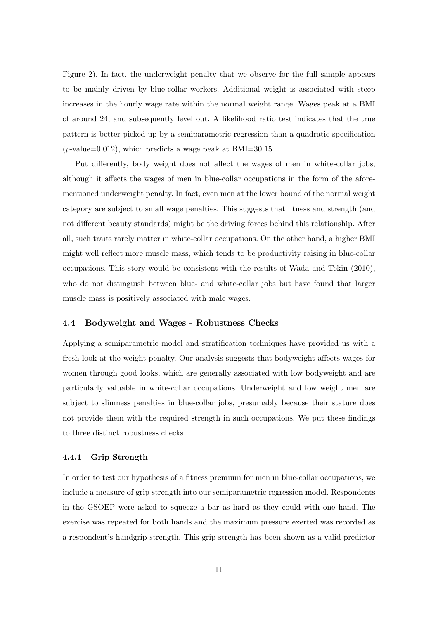Figure 2). In fact, the underweight penalty that we observe for the full sample appears to be mainly driven by blue-collar workers. Additional weight is associated with steep increases in the hourly wage rate within the normal weight range. Wages peak at a BMI of around 24, and subsequently level out. A likelihood ratio test indicates that the true pattern is better picked up by a semiparametric regression than a quadratic specification  $(p$ -value=0.012), which predicts a wage peak at BMI=30.15.

Put differently, body weight does not affect the wages of men in white-collar jobs, although it affects the wages of men in blue-collar occupations in the form of the aforementioned underweight penalty. In fact, even men at the lower bound of the normal weight category are subject to small wage penalties. This suggests that fitness and strength (and not different beauty standards) might be the driving forces behind this relationship. After all, such traits rarely matter in white-collar occupations. On the other hand, a higher BMI might well reflect more muscle mass, which tends to be productivity raising in blue-collar occupations. This story would be consistent with the results of Wada and Tekin (2010), who do not distinguish between blue- and white-collar jobs but have found that larger muscle mass is positively associated with male wages.

#### 4.4 Bodyweight and Wages - Robustness Checks

Applying a semiparametric model and stratification techniques have provided us with a fresh look at the weight penalty. Our analysis suggests that bodyweight affects wages for women through good looks, which are generally associated with low bodyweight and are particularly valuable in white-collar occupations. Underweight and low weight men are subject to slimness penalties in blue-collar jobs, presumably because their stature does not provide them with the required strength in such occupations. We put these findings to three distinct robustness checks.

#### 4.4.1 Grip Strength

In order to test our hypothesis of a fitness premium for men in blue-collar occupations, we include a measure of grip strength into our semiparametric regression model. Respondents in the GSOEP were asked to squeeze a bar as hard as they could with one hand. The exercise was repeated for both hands and the maximum pressure exerted was recorded as a respondent's handgrip strength. This grip strength has been shown as a valid predictor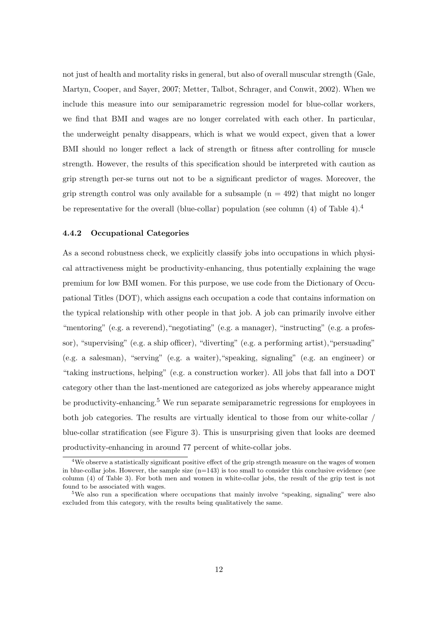not just of health and mortality risks in general, but also of overall muscular strength (Gale, Martyn, Cooper, and Sayer, 2007; Metter, Talbot, Schrager, and Conwit, 2002). When we include this measure into our semiparametric regression model for blue-collar workers, we find that BMI and wages are no longer correlated with each other. In particular, the underweight penalty disappears, which is what we would expect, given that a lower BMI should no longer reflect a lack of strength or fitness after controlling for muscle strength. However, the results of this specification should be interpreted with caution as grip strength per-se turns out not to be a significant predictor of wages. Moreover, the grip strength control was only available for a subsample  $(n = 492)$  that might no longer be representative for the overall (blue-collar) population (see column  $(4)$  of Table 4).<sup>4</sup>

#### 4.4.2 Occupational Categories

As a second robustness check, we explicitly classify jobs into occupations in which physical attractiveness might be productivity-enhancing, thus potentially explaining the wage premium for low BMI women. For this purpose, we use code from the Dictionary of Occupational Titles (DOT), which assigns each occupation a code that contains information on the typical relationship with other people in that job. A job can primarily involve either "mentoring" (e.g. a reverend), "negotiating" (e.g. a manager), "instructing" (e.g. a professor), "supervising" (e.g. a ship officer), "diverting" (e.g. a performing artist),"persuading" (e.g. a salesman), "serving" (e.g. a waiter),"speaking, signaling" (e.g. an engineer) or "taking instructions, helping" (e.g. a construction worker). All jobs that fall into a DOT category other than the last-mentioned are categorized as jobs whereby appearance might be productivity-enhancing.<sup>5</sup> We run separate semiparametric regressions for employees in both job categories. The results are virtually identical to those from our white-collar / blue-collar stratification (see Figure 3). This is unsurprising given that looks are deemed productivity-enhancing in around 77 percent of white-collar jobs.

<sup>&</sup>lt;sup>4</sup>We observe a statistically significant positive effect of the grip strength measure on the wages of women in blue-collar jobs. However, the sample size  $(n=143)$  is too small to consider this conclusive evidence (see column (4) of Table 3). For both men and women in white-collar jobs, the result of the grip test is not found to be associated with wages.

<sup>&</sup>lt;sup>5</sup>We also run a specification where occupations that mainly involve "speaking, signaling" were also excluded from this category, with the results being qualitatively the same.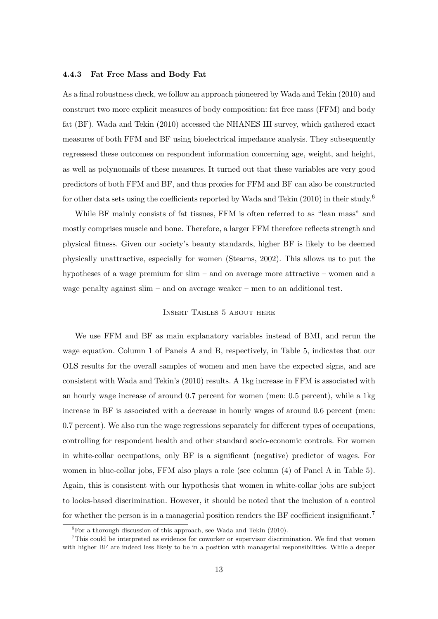#### 4.4.3 Fat Free Mass and Body Fat

As a final robustness check, we follow an approach pioneered by Wada and Tekin (2010) and construct two more explicit measures of body composition: fat free mass (FFM) and body fat (BF). Wada and Tekin (2010) accessed the NHANES III survey, which gathered exact measures of both FFM and BF using bioelectrical impedance analysis. They subsequently regressesd these outcomes on respondent information concerning age, weight, and height, as well as polynomails of these measures. It turned out that these variables are very good predictors of both FFM and BF, and thus proxies for FFM and BF can also be constructed for other data sets using the coefficients reported by Wada and Tekin (2010) in their study.<sup>6</sup>

While BF mainly consists of fat tissues, FFM is often referred to as "lean mass" and mostly comprises muscle and bone. Therefore, a larger FFM therefore reflects strength and physical fitness. Given our society's beauty standards, higher BF is likely to be deemed physically unattractive, especially for women (Stearns, 2002). This allows us to put the hypotheses of a wage premium for slim – and on average more attractive – women and a wage penalty against slim – and on average weaker – men to an additional test.

#### Insert Tables 5 about here

We use FFM and BF as main explanatory variables instead of BMI, and rerun the wage equation. Column 1 of Panels A and B, respectively, in Table 5, indicates that our OLS results for the overall samples of women and men have the expected signs, and are consistent with Wada and Tekin's (2010) results. A 1kg increase in FFM is associated with an hourly wage increase of around 0.7 percent for women (men: 0.5 percent), while a 1kg increase in BF is associated with a decrease in hourly wages of around 0.6 percent (men: 0.7 percent). We also run the wage regressions separately for different types of occupations, controlling for respondent health and other standard socio-economic controls. For women in white-collar occupations, only BF is a significant (negative) predictor of wages. For women in blue-collar jobs, FFM also plays a role (see column (4) of Panel A in Table 5). Again, this is consistent with our hypothesis that women in white-collar jobs are subject to looks-based discrimination. However, it should be noted that the inclusion of a control for whether the person is in a managerial position renders the BF coefficient insignificant.<sup>7</sup>

 ${}^{6}$ For a thorough discussion of this approach, see Wada and Tekin (2010).

<sup>7</sup>This could be interpreted as evidence for coworker or supervisor discrimination. We find that women with higher BF are indeed less likely to be in a position with managerial responsibilities. While a deeper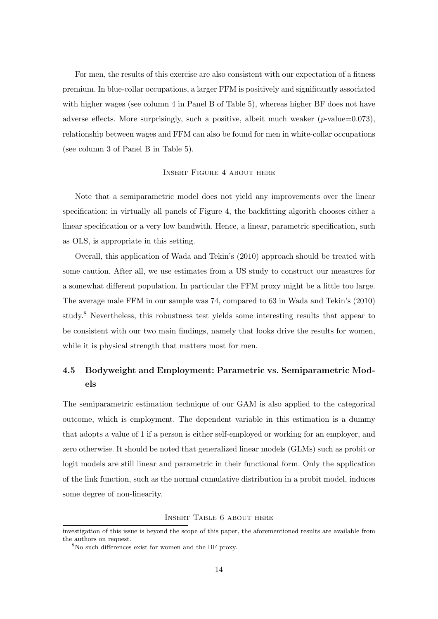For men, the results of this exercise are also consistent with our expectation of a fitness premium. In blue-collar occupations, a larger FFM is positively and significantly associated with higher wages (see column 4 in Panel B of Table 5), whereas higher BF does not have adverse effects. More surprisingly, such a positive, albeit much weaker  $(p$ -value=0.073), relationship between wages and FFM can also be found for men in white-collar occupations (see column 3 of Panel B in Table 5).

#### Insert Figure 4 about here

Note that a semiparametric model does not yield any improvements over the linear specification: in virtually all panels of Figure 4, the backfitting algorith chooses either a linear specification or a very low bandwith. Hence, a linear, parametric specification, such as OLS, is appropriate in this setting.

Overall, this application of Wada and Tekin's (2010) approach should be treated with some caution. After all, we use estimates from a US study to construct our measures for a somewhat different population. In particular the FFM proxy might be a little too large. The average male FFM in our sample was 74, compared to 63 in Wada and Tekin's (2010) study.<sup>8</sup> Nevertheless, this robustness test yields some interesting results that appear to be consistent with our two main findings, namely that looks drive the results for women, while it is physical strength that matters most for men.

# 4.5 Bodyweight and Employment: Parametric vs. Semiparametric Models

The semiparametric estimation technique of our GAM is also applied to the categorical outcome, which is employment. The dependent variable in this estimation is a dummy that adopts a value of 1 if a person is either self-employed or working for an employer, and zero otherwise. It should be noted that generalized linear models (GLMs) such as probit or logit models are still linear and parametric in their functional form. Only the application of the link function, such as the normal cumulative distribution in a probit model, induces some degree of non-linearity.

Insert Table 6 about here

investigation of this issue is beyond the scope of this paper, the aforementioned results are available from the authors on request.

<sup>8</sup>No such differences exist for women and the BF proxy.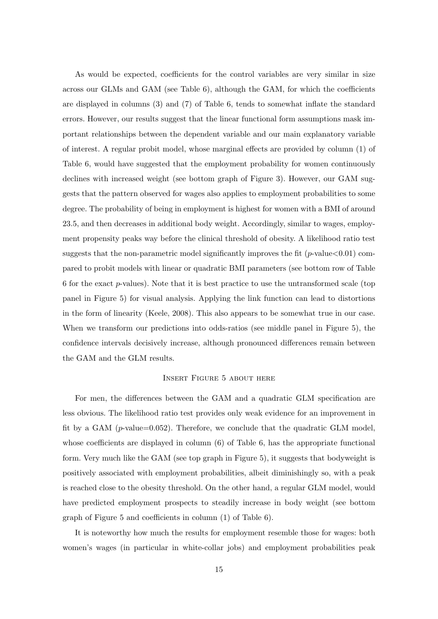As would be expected, coefficients for the control variables are very similar in size across our GLMs and GAM (see Table 6), although the GAM, for which the coefficients are displayed in columns (3) and (7) of Table 6, tends to somewhat inflate the standard errors. However, our results suggest that the linear functional form assumptions mask important relationships between the dependent variable and our main explanatory variable of interest. A regular probit model, whose marginal effects are provided by column (1) of Table 6, would have suggested that the employment probability for women continuously declines with increased weight (see bottom graph of Figure 3). However, our GAM suggests that the pattern observed for wages also applies to employment probabilities to some degree. The probability of being in employment is highest for women with a BMI of around 23.5, and then decreases in additional body weight. Accordingly, similar to wages, employment propensity peaks way before the clinical threshold of obesity. A likelihood ratio test suggests that the non-parametric model significantly improves the fit ( $p$ -value $<0.01$ ) compared to probit models with linear or quadratic BMI parameters (see bottom row of Table 6 for the exact  $p$ -values). Note that it is best practice to use the untransformed scale (top panel in Figure 5) for visual analysis. Applying the link function can lead to distortions in the form of linearity (Keele, 2008). This also appears to be somewhat true in our case. When we transform our predictions into odds-ratios (see middle panel in Figure 5), the confidence intervals decisively increase, although pronounced differences remain between the GAM and the GLM results.

#### Insert Figure 5 about here

For men, the differences between the GAM and a quadratic GLM specification are less obvious. The likelihood ratio test provides only weak evidence for an improvement in fit by a GAM ( $p$ -value=0.052). Therefore, we conclude that the quadratic GLM model, whose coefficients are displayed in column (6) of Table 6, has the appropriate functional form. Very much like the GAM (see top graph in Figure 5), it suggests that bodyweight is positively associated with employment probabilities, albeit diminishingly so, with a peak is reached close to the obesity threshold. On the other hand, a regular GLM model, would have predicted employment prospects to steadily increase in body weight (see bottom graph of Figure 5 and coefficients in column (1) of Table 6).

It is noteworthy how much the results for employment resemble those for wages: both women's wages (in particular in white-collar jobs) and employment probabilities peak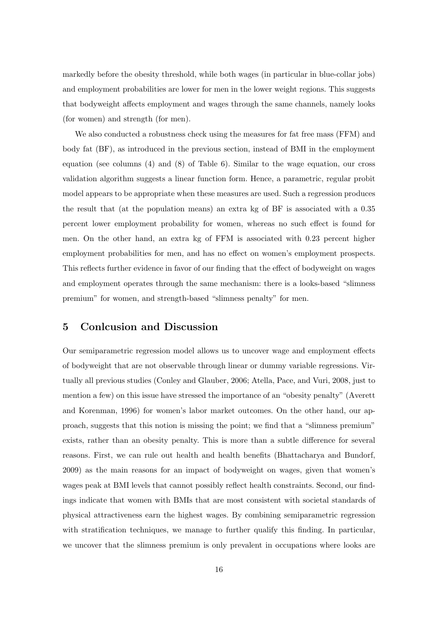markedly before the obesity threshold, while both wages (in particular in blue-collar jobs) and employment probabilities are lower for men in the lower weight regions. This suggests that bodyweight affects employment and wages through the same channels, namely looks (for women) and strength (for men).

We also conducted a robustness check using the measures for fat free mass (FFM) and body fat (BF), as introduced in the previous section, instead of BMI in the employment equation (see columns (4) and (8) of Table 6). Similar to the wage equation, our cross validation algorithm suggests a linear function form. Hence, a parametric, regular probit model appears to be appropriate when these measures are used. Such a regression produces the result that (at the population means) an extra kg of BF is associated with a 0.35 percent lower employment probability for women, whereas no such effect is found for men. On the other hand, an extra kg of FFM is associated with 0.23 percent higher employment probabilities for men, and has no effect on women's employment prospects. This reflects further evidence in favor of our finding that the effect of bodyweight on wages and employment operates through the same mechanism: there is a looks-based "slimness premium" for women, and strength-based "slimness penalty" for men.

## 5 Conlcusion and Discussion

Our semiparametric regression model allows us to uncover wage and employment effects of bodyweight that are not observable through linear or dummy variable regressions. Virtually all previous studies (Conley and Glauber, 2006; Atella, Pace, and Vuri, 2008, just to mention a few) on this issue have stressed the importance of an "obesity penalty" (Averett and Korenman, 1996) for women's labor market outcomes. On the other hand, our approach, suggests that this notion is missing the point; we find that a "slimness premium" exists, rather than an obesity penalty. This is more than a subtle difference for several reasons. First, we can rule out health and health benefits (Bhattacharya and Bundorf, 2009) as the main reasons for an impact of bodyweight on wages, given that women's wages peak at BMI levels that cannot possibly reflect health constraints. Second, our findings indicate that women with BMIs that are most consistent with societal standards of physical attractiveness earn the highest wages. By combining semiparametric regression with stratification techniques, we manage to further qualify this finding. In particular, we uncover that the slimness premium is only prevalent in occupations where looks are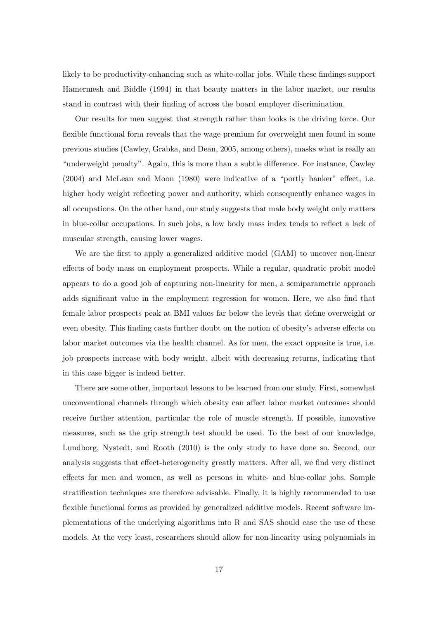likely to be productivity-enhancing such as white-collar jobs. While these findings support Hamermesh and Biddle (1994) in that beauty matters in the labor market, our results stand in contrast with their finding of across the board employer discrimination.

Our results for men suggest that strength rather than looks is the driving force. Our flexible functional form reveals that the wage premium for overweight men found in some previous studies (Cawley, Grabka, and Dean, 2005, among others), masks what is really an "underweight penalty". Again, this is more than a subtle difference. For instance, Cawley (2004) and McLean and Moon (1980) were indicative of a "portly banker" effect, i.e. higher body weight reflecting power and authority, which consequently enhance wages in all occupations. On the other hand, our study suggests that male body weight only matters in blue-collar occupations. In such jobs, a low body mass index tends to reflect a lack of muscular strength, causing lower wages.

We are the first to apply a generalized additive model (GAM) to uncover non-linear effects of body mass on employment prospects. While a regular, quadratic probit model appears to do a good job of capturing non-linearity for men, a semiparametric approach adds significant value in the employment regression for women. Here, we also find that female labor prospects peak at BMI values far below the levels that define overweight or even obesity. This finding casts further doubt on the notion of obesity's adverse effects on labor market outcomes via the health channel. As for men, the exact opposite is true, i.e. job prospects increase with body weight, albeit with decreasing returns, indicating that in this case bigger is indeed better.

There are some other, important lessons to be learned from our study. First, somewhat unconventional channels through which obesity can affect labor market outcomes should receive further attention, particular the role of muscle strength. If possible, innovative measures, such as the grip strength test should be used. To the best of our knowledge, Lundborg, Nystedt, and Rooth (2010) is the only study to have done so. Second, our analysis suggests that effect-heterogeneity greatly matters. After all, we find very distinct effects for men and women, as well as persons in white- and blue-collar jobs. Sample stratification techniques are therefore advisable. Finally, it is highly recommended to use flexible functional forms as provided by generalized additive models. Recent software implementations of the underlying algorithms into R and SAS should ease the use of these models. At the very least, researchers should allow for non-linearity using polynomials in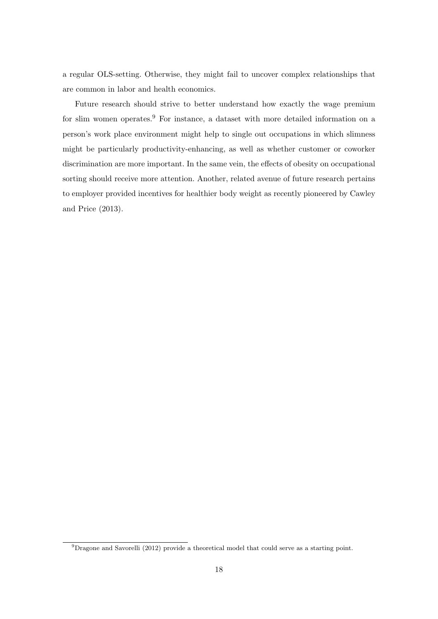a regular OLS-setting. Otherwise, they might fail to uncover complex relationships that are common in labor and health economics.

Future research should strive to better understand how exactly the wage premium for slim women operates.<sup>9</sup> For instance, a dataset with more detailed information on a person's work place environment might help to single out occupations in which slimness might be particularly productivity-enhancing, as well as whether customer or coworker discrimination are more important. In the same vein, the effects of obesity on occupational sorting should receive more attention. Another, related avenue of future research pertains to employer provided incentives for healthier body weight as recently pioneered by Cawley and Price (2013).

 $\overline{^{9}D}$ ragone and Savorelli (2012) provide a theoretical model that could serve as a starting point.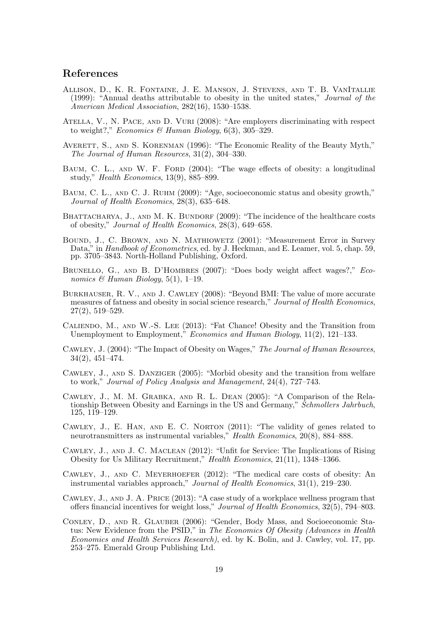### References

- Allison, D., K. R. Fontaine, J. E. Manson, J. Stevens, and T. B. VanItallie (1999): "Annual deaths attributable to obesity in the united states," Journal of the American Medical Association, 282(16), 1530–1538.
- Atella, V., N. Pace, and D. Vuri (2008): "Are employers discriminating with respect to weight?," Economics & Human Biology,  $6(3)$ ,  $305-329$ .
- AVERETT, S., AND S. KORENMAN (1996): "The Economic Reality of the Beauty Myth," The Journal of Human Resources, 31(2), 304–330.
- BAUM, C. L., AND W. F. FORD (2004): "The wage effects of obesity: a longitudinal study," Health Economics, 13(9), 885–899.
- Baum, C. L., and C. J. Ruhm (2009): "Age, socioeconomic status and obesity growth," Journal of Health Economics, 28(3), 635–648.
- BHATTACHARYA, J., AND M. K. BUNDORF (2009): "The incidence of the healthcare costs of obesity," Journal of Health Economics, 28(3), 649–658.
- Bound, J., C. Brown, and N. Mathiowetz (2001): "Measurement Error in Survey Data," in Handbook of Econometrics, ed. by J. Heckman, and E. Leamer, vol. 5, chap. 59, pp. 3705–3843. North-Holland Publishing, Oxford.
- Brunello, G., and B. D'Hombres (2007): "Does body weight affect wages?," Economics & Human Biology,  $5(1)$ , 1–19.
- Burkhauser, R. V., and J. Cawley (2008): "Beyond BMI: The value of more accurate measures of fatness and obesity in social science research," Journal of Health Economics, 27(2), 519–529.
- Caliendo, M., and W.-S. Lee (2013): "Fat Chance! Obesity and the Transition from Unemployment to Employment," *Economics and Human Biology*, 11(2), 121–133.
- Cawley, J. (2004): "The Impact of Obesity on Wages," The Journal of Human Resources, 34(2), 451–474.
- Cawley, J., and S. Danziger (2005): "Morbid obesity and the transition from welfare to work," Journal of Policy Analysis and Management, 24(4), 727–743.
- Cawley, J., M. M. Grabka, and R. L. Dean (2005): "A Comparison of the Relationship Between Obesity and Earnings in the US and Germany," Schmollers Jahrbuch, 125, 119–129.
- Cawley, J., E. Han, and E. C. Norton (2011): "The validity of genes related to neurotransmitters as instrumental variables," Health Economics, 20(8), 884–888.
- Cawley, J., and J. C. Maclean (2012): "Unfit for Service: The Implications of Rising Obesity for Us Military Recruitment," Health Economics, 21(11), 1348–1366.
- Cawley, J., and C. Meyerhoefer (2012): "The medical care costs of obesity: An instrumental variables approach," Journal of Health Economics, 31(1), 219–230.
- Cawley, J., and J. A. Price (2013): "A case study of a workplace wellness program that offers financial incentives for weight loss," Journal of Health Economics,  $32(5)$ , 794–803.
- Conley, D., and R. Glauber (2006): "Gender, Body Mass, and Socioeconomic Status: New Evidence from the PSID," in The Economics Of Obesity (Advances in Health Economics and Health Services Research), ed. by K. Bolin, and J. Cawley, vol. 17, pp. 253–275. Emerald Group Publishing Ltd.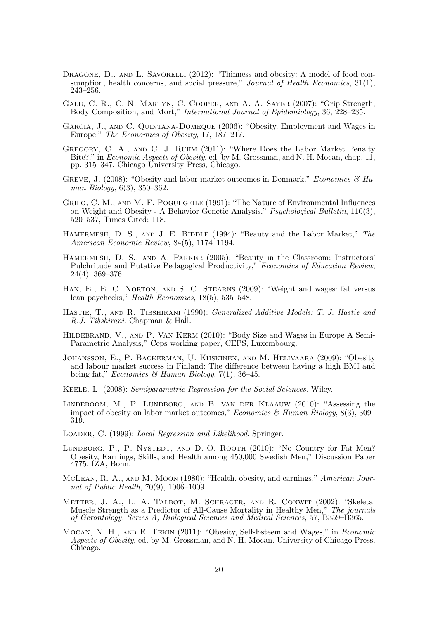- DRAGONE, D., AND L. SAVORELLI (2012): "Thinness and obesity: A model of food consumption, health concerns, and social pressure," Journal of Health Economics, 31(1), 243–256.
- Gale, C. R., C. N. Martyn, C. Cooper, and A. A. Sayer (2007): "Grip Strength, Body Composition, and Mort," International Journal of Epidemiology, 36, 228–235.
- Garcia, J., and C. Quintana-Domeque (2006): "Obesity, Employment and Wages in Europe," The Economics of Obesity, 17, 187–217.
- Gregory, C. A., and C. J. Ruhm (2011): "Where Does the Labor Market Penalty Bite?," in *Economic Aspects of Obesity*, ed. by M. Grossman, and N. H. Mocan, chap. 11, pp. 315–347. Chicago University Press, Chicago.
- GREVE, J. (2008): "Obesity and labor market outcomes in Denmark," *Economics & Hu*man Biology, 6(3), 350–362.
- GRILO, C. M., AND M. F. POGUEGEILE (1991): "The Nature of Environmental Influences on Weight and Obesity - A Behavior Genetic Analysis," Psychological Bulletin, 110(3), 520–537, Times Cited: 118.
- HAMERMESH, D. S., AND J. E. BIDDLE (1994): "Beauty and the Labor Market," The American Economic Review, 84(5), 1174–1194.
- Hamermesh, D. S., and A. Parker (2005): "Beauty in the Classroom: Instructors' Pulchritude and Putative Pedagogical Productivity," Economics of Education Review, 24(4), 369–376.
- HAN, E., E. C. NORTON, AND S. C. STEARNS (2009): "Weight and wages: fat versus lean paychecks," Health Economics, 18(5), 535–548.
- HASTIE, T., AND R. TIBSHIRANI (1990): Generalized Additive Models: T. J. Hastie and R.J. Tibshirani. Chapman & Hall.
- Hildebrand, V., and P. Van Kerm (2010): "Body Size and Wages in Europe A Semi-Parametric Analysis," Ceps working paper, CEPS, Luxembourg.
- Johansson, E., P. Backerman, U. Kiiskinen, and M. Helivaara (2009): "Obesity and labour market success in Finland: The difference between having a high BMI and being fat," Economics & Human Biology, 7(1), 36-45.
- Keele, L. (2008): Semiparametric Regression for the Social Sciences. Wiley.
- Lindeboom, M., P. Lundborg, and B. van der Klaauw (2010): "Assessing the impact of obesity on labor market outcomes," Economics & Human Biology,  $8(3)$ ,  $309-$ 319.
- LOADER, C. (1999): *Local Regression and Likelihood*. Springer.
- LUNDBORG, P., P. NYSTEDT, AND D.-O. ROOTH (2010): "No Country for Fat Men? Obesity, Earnings, Skills, and Health among 450,000 Swedish Men," Discussion Paper 4775, IZA, Bonn.
- MCLEAN, R. A., AND M. MOON (1980): "Health, obesity, and earnings," American Journal of Public Health, 70(9), 1006–1009.
- METTER, J. A., L. A. TALBOT, M. SCHRAGER, AND R. CONWIT (2002): "Skeletal Muscle Strength as a Predictor of All-Cause Mortality in Healthy Men," The journals of Gerontology. Series A, Biological Sciences and Medical Sciences, 57, B359–B365.
- Mocan, N. H., and E. Tekin (2011): "Obesity, Self-Esteem and Wages," in Economic Aspects of Obesity, ed. by M. Grossman, and N. H. Mocan. University of Chicago Press, Chicago.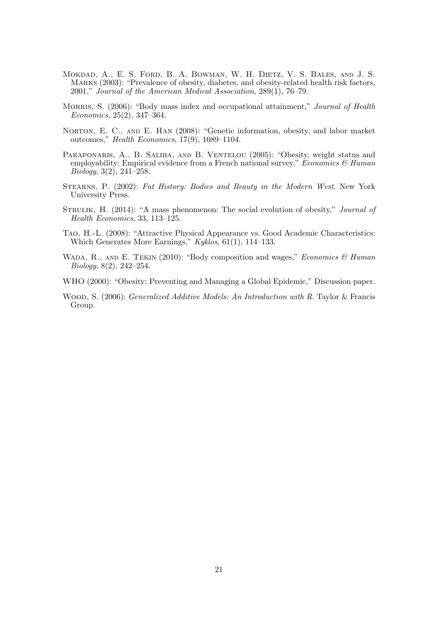- Mokdad, A., E. S. Ford, B. A. Bowman, W. H. Dietz, V. S. Bales, and J. S. Marks (2003): "Prevalence of obesity, diabetes, and obesity-related health risk factors, 2001," Journal of the American Medical Association, 289(1), 76–79.
- MORRIS, S. (2006): "Body mass index and occupational attainment," *Journal of Health* Economics, 25(2), 347–364.
- NORTON, E. C., AND E. HAN (2008): "Genetic information, obesity, and labor market outcomes," Health Economics, 17(9), 1089–1104.
- PARAPONARIS, A., B. SALIBA, AND B. VENTELOU (2005): "Obesity, weight status and employability: Empirical evidence from a French national survey," Economics  $\mathscr B$  Human Biology, 3(2), 241–258.
- Stearns, P. (2002): Fat History: Bodies and Beauty in the Modern West. New York University Press.
- STRULIK, H. (2014): "A mass phenomenon: The social evolution of obesity," *Journal of* Health Economics, 33, 113–125.
- Tao, H.-L. (2008): "Attractive Physical Appearance vs. Good Academic Characteristics: Which Generates More Earnings," Kyklos, 61(1), 114-133.
- WADA, R., AND E. TEKIN (2010): "Body composition and wages," Economics  $\mathcal{B}$  Human Biology, 8(2), 242–254.
- WHO (2000): "Obesity: Preventing and Managing a Global Epidemic," Discussion paper.
- WOOD, S. (2006): *Generalized Additive Models: An Introduction with R*. Taylor & Francis Group.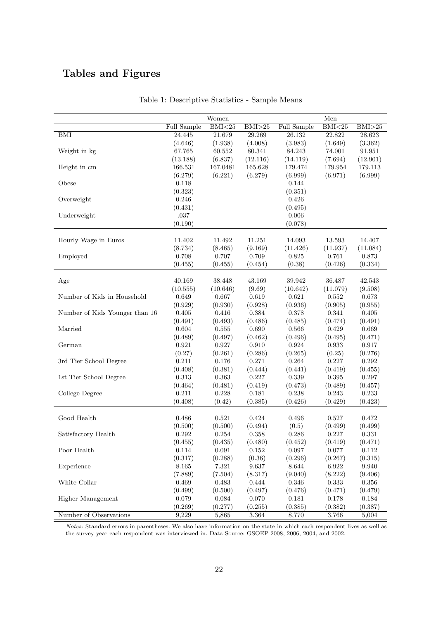# Tables and Figures

|                                |                      | Women            |                     |                  | Men                  |                  |
|--------------------------------|----------------------|------------------|---------------------|------------------|----------------------|------------------|
|                                | Full Sample          | BMI < 25         | BMI>25              | Full Sample      | BMI < 25             | BMI>25           |
| BMI                            | 24.445               | 21.679           | 29.269              | 26.132           | 22.822               | 28.623           |
|                                | (4.646)              | (1.938)          | (4.008)             | (3.983)          | (1.649)              | (3.362)          |
| Weight in kg                   | 67.765               | 60.552           | 80.341              | 84.243           | 74.001               | 91.951           |
|                                | (13.188)             | (6.837)          | (12.116)            | (14.119)         | (7.694)              | (12.901)         |
| Height in cm                   | 166.531              | 167.0481         | 165.628             | 179.474          | 179.954              | 179.113          |
|                                | (6.279)              | (6.221)          | (6.279)             | (6.999)          | (6.971)              | (6.999)          |
| Obese                          | 0.118                |                  |                     | 0.144            |                      |                  |
|                                | (0.323)              |                  |                     | (0.351)          |                      |                  |
| Overweight                     | 0.246                |                  |                     | 0.426            |                      |                  |
|                                | (0.431)              |                  |                     | (0.495)          |                      |                  |
| Underweight                    | $.037\,$             |                  |                     | $0.006\,$        |                      |                  |
|                                | (0.190)              |                  |                     | (0.078)          |                      |                  |
|                                |                      |                  |                     |                  |                      |                  |
| Hourly Wage in Euros           | 11.402               | 11.492           | 11.251              | 14.093           | 13.593               | 14.407           |
|                                | (8.734)              | (8.465)          | (9.169)             | (11.426)         | (11.937)             | (11.084)         |
| Employed                       | 0.708                | 0.707            | 0.709               | 0.825            | 0.761                | 0.873            |
|                                | (0.455)              | (0.455)          | (0.454)             | (0.38)           | (0.426)              | (0.334)          |
|                                |                      |                  |                     |                  |                      |                  |
| Age                            | 40.169               | 38.448           | 43.169              | 39.942           | 36.487               | 42.543           |
|                                | (10.555)             | (10.646)         | (9.69)              | (10.642)         | (11.079)             | (9.508)          |
| Number of Kids in Household    | 0.649                | 0.667            | $0.619\,$           | 0.621            | 0.552                | 0.673            |
|                                | (0.929)              | (0.930)          | (0.928)             | (0.936)          | (0.905)              | (0.955)          |
| Number of Kids Younger than 16 | 0.405                | 0.416            | $\,0.384\,$         | $0.378\,$        | 0.341                | 0.405            |
|                                | (0.491)              | (0.493)          | (0.486)             | (0.485)          | (0.474)              | (0.491)          |
| Married                        | 0.604                | 0.555            | 0.690               | $0.566\,$        | 0.429                | 0.669            |
|                                | (0.489)              | (0.497)          | (0.462)             | (0.496)          | (0.495)              | (0.471)          |
| German                         | 0.921                | 0.927            | $0.910\,$           | 0.924            | 0.933                | $0.917\,$        |
|                                | (0.27)               | (0.261)          | (0.286)             | (0.265)          | (0.25)               | (0.276)          |
| 3rd Tier School Degree         | $0.211\,$            | $0.176\,$        | 0.271               | $\,0.264\,$      | 0.227                | $\,0.292\,$      |
|                                | (0.408)              | (0.381)          | (0.444)             | (0.441)          | (0.419)              | (0.455)          |
| 1st Tier School Degree         | 0.313                | 0.363            | 0.227               | 0.339            | 0.395                | 0.297            |
|                                | (0.464)              | (0.481)          | (0.419)             | (0.473)          | (0.489)              | (0.457)          |
| College Degree                 | 0.211                | 0.228            | 0.181               | 0.238            | 0.243                | $0.233\,$        |
|                                | (0.408)              | (0.42)           | (0.385)             | (0.426)          | (0.429)              | (0.423)          |
| Good Health                    | 0.486                |                  | $\rm 0.424$         |                  |                      | 0.472            |
|                                |                      | 0.521            |                     | 0.496            | 0.527                |                  |
|                                | (0.500)              | (0.500)          | (0.494)             | (0.5)            | (0.499)              | (0.499)          |
| Satisfactory Health            | 0.292<br>(0.455)     | 0.254<br>(0.435) | 0.358<br>(0.480)    | 0.286            | 0.227<br>(0.419)     | 0.331            |
| Poor Health                    |                      |                  |                     | (0.452)          |                      | (0.471)          |
|                                | 0.114                | 0.091            | 0.152               | 0.097            | 0.077                | 0.112            |
| Experience                     | (0.317)<br>$8.165\,$ | (0.288)<br>7.321 | (0.36)<br>$9.637\,$ | (0.296)<br>8.644 | (0.267)<br>$6.922\,$ | (0.315)<br>9.940 |
|                                |                      |                  |                     |                  |                      |                  |
|                                | (7.889)              | (7.504)          | (8.317)             | (9.040)          | (8.222)              | (9.406)          |
| White Collar                   | 0.469                | 0.483            | 0.444               | 0.346            | 0.333                | 0.356            |
|                                | (0.499)              | (0.500)          | (0.497)             | (0.476)          | (0.471)              | (0.479)          |
| Higher Management              | 0.079                | $\,0.084\,$      | 0.070               | 0.181            | 0.178                | 0.184            |
|                                | (0.269)              | (0.277)          | (0.255)             | (0.385)          | (0.382)              | (0.387)          |
| Number of Observations         | 9,229                | 5,865            | 3,364               | 8,770            | 3,766                | 5,004            |

Table 1: Descriptive Statistics - Sample Means

Notes: Standard errors in parentheses. We also have information on the state in which each respondent lives as well as the survey year each respondent was interviewed in. Data Source: GSOEP 2008, 2006, 2004, and 2002.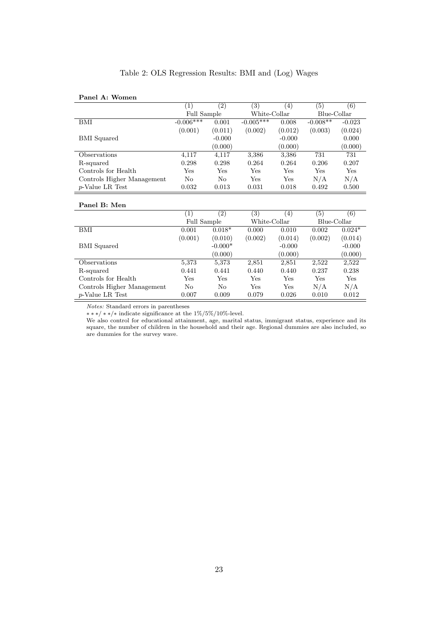| Table 2: OLS Regression Results: BMI and (Log) Wages |  |
|------------------------------------------------------|--|
|------------------------------------------------------|--|

# Panel A: Women

|                            | $\left(1\right)$ | $\left( 2\right)$ | $\left( 3\right)$ | (4)      | (5)         | $\left( 6\right)$   |
|----------------------------|------------------|-------------------|-------------------|----------|-------------|---------------------|
|                            | Full Sample      |                   | White-Collar      |          | Blue-Collar |                     |
| BMI                        | $-0.006***$      | 0.001             | $-0.005***$       | 0.008    | $-0.008**$  | $-0.023$            |
|                            | (0.001)          | (0.011)           | (0.002)           | (0.012)  | (0.003)     | (0.024)             |
| <b>BMI</b> Squared         |                  | $-0.000$          |                   | $-0.000$ |             | 0.000               |
|                            |                  | (0.000)           |                   | (0.000)  |             | (0.000)             |
| Observations               | 4,117            | 4,117             | 3,386             | 3,386    | 731         | 731                 |
| R-squared                  | 0.298            | 0.298             | 0.264             | 0.264    | 0.206       | 0.207               |
| Controls for Health        | Yes              | Yes               | Yes               | Yes      | Yes         | <b>Yes</b>          |
| Controls Higher Management | N <sub>0</sub>   | No                | Yes               | Yes      | N/A         | N/A                 |
| $p$ -Value LR Test         | 0.032            | 0.013             | 0.031             | 0.018    | 0.492       | 0.500               |
|                            |                  |                   |                   |          |             |                     |
| Panel B: Men               |                  |                   |                   |          |             |                     |
|                            | (1)              | (9)               | (9)               | (1)      | ∕ ⊏ \       | $\langle c \rangle$ |

|                            |             | $\left( 2\right)$ | $\left( 3\right)$ | $\left(4\right)$ | 5)          | (6)      |
|----------------------------|-------------|-------------------|-------------------|------------------|-------------|----------|
|                            | Full Sample |                   | White-Collar      |                  | Blue-Collar |          |
| BMI                        | 0.001       | $0.018*$          | 0.000             | 0.010            | 0.002       | $0.024*$ |
|                            | (0.001)     | (0.010)           | (0.002)           | (0.014)          | (0.002)     | (0.014)  |
| <b>BMI</b> Squared         |             | $-0.000*$         |                   | $-0.000$         |             | $-0.000$ |
|                            |             | (0.000)           |                   | (0.000)          |             | (0.000)  |
| Observations               | 5,373       | 5,373             | 2,851             | 2,851            | 2,522       | 2,522    |
| R-squared                  | 0.441       | 0.441             | 0.440             | 0.440            | 0.237       | 0.238    |
| Controls for Health        | Yes         | Yes               | Yes               | Yes              | Yes         | Yes      |
| Controls Higher Management | No          | No                | Yes               | Yes              | N/A         | N/A      |
| $p$ -Value LR Test         | 0.007       | 0.009             | 0.079             | 0.026            | 0.010       | 0.012    |

Notes: Standard errors in parentheses

∗ ∗ ∗/ ∗ ∗/∗ indicate significance at the 1%/5%/10%-level.

We also control for educational attainment, age, marital status, immigrant status, experience and its square, the number of children in the household and their age. Regional dummies are also included, so are dummies for the survey wave.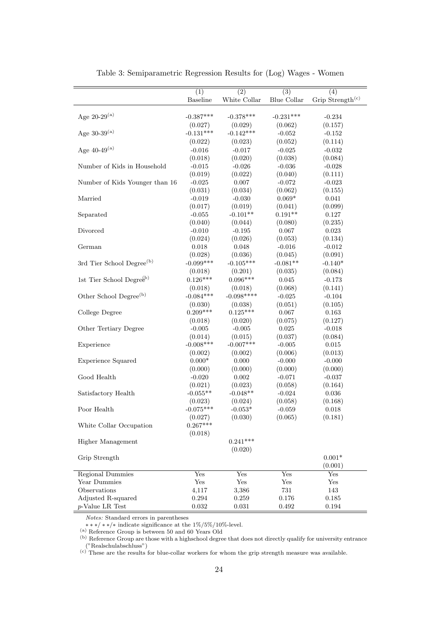|                                               | $\overline{(1)}$       | $\overline{(2)}$       | $\overline{(3)}$     | (4)                          |
|-----------------------------------------------|------------------------|------------------------|----------------------|------------------------------|
|                                               | <b>Baseline</b>        | White Collar           | Blue Collar          | Grip Strength <sup>(c)</sup> |
|                                               |                        |                        |                      |                              |
| Age 20-29 <sup>(a)</sup>                      | $-0.387***$            | $-0.378***$            | $-0.231***$          | $-0.234$                     |
|                                               | (0.027)                | (0.029)                | (0.062)              | (0.157)                      |
| Age 30-39 $^{(a)}$                            | $-0.131***$            | $-0.142***$            | $-0.052$             | $-0.152$                     |
|                                               |                        |                        |                      |                              |
| Age 40-49 $^{\rm (a)}$                        | (0.022)                | (0.023)                | (0.052)              | (0.114)                      |
|                                               | $-0.016$               | $-0.017$               | $-0.025$             | $-0.032$                     |
| Number of Kids in Household                   | (0.018)<br>$-0.015$    | (0.020)<br>$-0.026$    | (0.038)              | (0.084)                      |
|                                               | (0.019)                |                        | $-0.036$<br>(0.040)  | $-0.028$                     |
| Number of Kids Younger than 16                |                        | (0.022)<br>$0.007\,$   |                      | (0.111)                      |
|                                               | $-0.025$               |                        | $-0.072$             | $-0.023$                     |
|                                               | (0.031)                | (0.034)                | (0.062)<br>$0.069*$  | (0.155)                      |
| Married                                       | $-0.019$               | $-0.030$               |                      | 0.041                        |
|                                               | (0.017)                | (0.019)<br>$-0.101**$  | (0.041)<br>$0.191**$ | (0.099)                      |
| Separated                                     | $-0.055$               |                        |                      | 0.127                        |
| Divorced                                      | (0.040)                | (0.044)<br>$-0.195$    | (0.080)<br>0.067     | (0.235)<br>0.023             |
|                                               | $-0.010$               |                        |                      |                              |
| German                                        | (0.024)                | (0.026)<br>0.048       | (0.053)              | (0.134)                      |
|                                               | 0.018                  |                        | $-0.016$             | $-0.012$                     |
|                                               | (0.028)<br>$-0.099***$ | (0.036)<br>$-0.105***$ | (0.045)              | (0.091)                      |
| 3rd Tier School Degree <sup>(b)</sup>         |                        |                        | $-0.081**$           | $-0.140*$                    |
|                                               | (0.018)                | (0.201)<br>$0.096***$  | (0.035)              | (0.084)                      |
| 1st Tier School Degre $\mathcal{E}^{\rm (b)}$ | $0.126***$             |                        | $\,0.045\,$          | $-0.173$                     |
|                                               | (0.018)                | (0.018)                | (0.068)              | (0.141)                      |
| Other School Degree <sup>(b)</sup>            | $-0.084***$            | $-0.098***$            | $-0.025$             | $-0.104$                     |
|                                               | (0.030)                | (0.038)                | (0.051)              | (0.105)                      |
| College Degree                                | $0.209***$             | $0.125***$             | 0.067                | 0.163                        |
|                                               | (0.018)                | (0.020)                | (0.075)              | (0.127)                      |
| Other Tertiary Degree                         | $-0.005$               | $-0.005$               | 0.025                | $-0.018$                     |
|                                               | (0.014)                | (0.015)                | (0.037)              | (0.084)                      |
| Experience                                    | $-0.008***$            | $-0.007***$            | $-0.005$             | 0.015                        |
|                                               | (0.002)                | (0.002)                | (0.006)              | (0.013)                      |
| <b>Experience Squared</b>                     | $0.000*$               | 0.000                  | $-0.000$             | $-0.000$                     |
|                                               | (0.000)                | (0.000)                | (0.000)              | (0.000)                      |
| Good Health                                   | $-0.020$               | $0.002\,$              | $-0.071$             | $-0.037$                     |
|                                               | (0.021)                | (0.023)                | (0.058)              | (0.164)                      |
| Satisfactory Health                           | $-0.055**$             | $-0.048**$             | $-0.024$             | 0.036                        |
|                                               | (0.023)                | (0.024)                | (0.058)              | (0.168)                      |
| Poor Health                                   | $-0.075***$            | $-0.053^*$             | $-0.059$             | 0.018                        |
|                                               | (0.027)                | (0.030)                | (0.065)              | (0.181)                      |
| White Collar Occupation                       | $0.267***$             |                        |                      |                              |
|                                               | (0.018)                |                        |                      |                              |
| Higher Management                             |                        | $0.241***$             |                      |                              |
|                                               |                        | (0.020)                |                      |                              |
| Grip Strength                                 |                        |                        |                      | $0.001*$                     |
|                                               |                        |                        |                      | (0.001)                      |
| <b>Regional Dummies</b>                       | Yes                    | Yes                    | Yes                  | Yes                          |
| Year Dummies                                  | Yes                    | Yes                    | Yes                  | Yes                          |
| Observations                                  | 4,117                  | 3,386                  | $731\,$              | 143                          |
| Adjusted R-squared                            | 0.294                  | 0.259                  | 0.176                | 0.185                        |
| $p$ -Value LR Test                            | $\,0.032\,$            | 0.031                  | $\,0.492\,$          | 0.194                        |

Table 3: Semiparametric Regression Results for (Log) Wages - Women

Notes: Standard errors in parentheses

∗ ∗ ∗/ ∗ ∗/∗ indicate significance at the 1%/5%/10%-level.

(a) Reference Group is between 50 and 60 Years Old

(b) Reference Group are those with a highschool degree that does not directly qualify for university entrance ("Realschulabschluss")

 $(c)$  These are the results for blue-collar workers for whom the grip strength measure was available.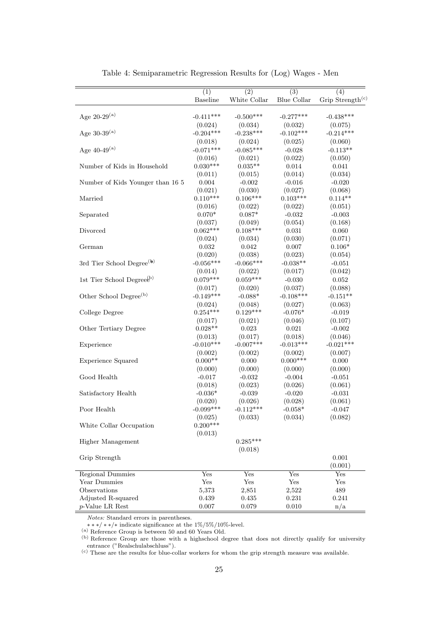|                                       | $\overline{(1)}$ | $\overline{(2)}$ | $\overline{(3)}$ | (4)                          |
|---------------------------------------|------------------|------------------|------------------|------------------------------|
|                                       | <b>Baseline</b>  | White Collar     | Blue Collar      | Grip Strength <sup>(c)</sup> |
|                                       |                  |                  |                  |                              |
| Age $20-29^{(a)}$                     | $-0.411***$      | $-0.500***$      | $-0.277***$      | $-0.438***$                  |
|                                       | (0.024)          | (0.034)          | (0.032)          | (0.075)                      |
| Age $30-39^{(a)}$                     | $-0.204***$      | $-0.238***$      | $-0.102***$      | $-0.214***$                  |
|                                       | (0.018)          | (0.024)          | (0.025)          | (0.060)                      |
| Age $40\text{-}49^\mathrm{(a)}$       | $-0.071***$      | $-0.085***$      | $-0.028$         | $-0.113**$                   |
|                                       | (0.016)          | (0.021)          | (0.022)          | (0.050)                      |
| Number of Kids in Household           | $0.030***$       | $0.035**$        | $\,0.014\,$      | $\,0.041\,$                  |
|                                       | (0.011)          | (0.015)          | (0.014)          | (0.034)                      |
| Number of Kids Younger than 16 5      | 0.004            | $-0.002$         | $-0.016$         | $-0.020$                     |
|                                       | (0.021)          | (0.030)          | (0.027)          | (0.068)                      |
| Married                               | $0.110***$       | $0.106***$       | $0.103***$       | $0.114**$                    |
|                                       | (0.016)          | (0.022)          | (0.022)          | (0.051)                      |
| Separated                             | $0.070*$         | $0.087*$         | $-0.032$         | $-0.003$                     |
|                                       | (0.037)          | (0.049)          | (0.054)          | (0.168)                      |
| Divorced                              | $0.062***$       | $0.108***$       | 0.031            | 0.060                        |
|                                       | (0.024)          | (0.034)          | (0.030)          | (0.071)                      |
| German                                | 0.032            | 0.042            | 0.007            | $0.106*$                     |
|                                       | (0.020)          | (0.038)          | (0.023)          | (0.054)                      |
| 3rd Tier School Degree <sup>(k)</sup> | $-0.056***$      | $-0.066***$      | $-0.038**$       | $-0.051$                     |
|                                       | (0.014)          | (0.022)          | (0.017)          | (0.042)                      |
| 1st Tier School Degree <sup>(b)</sup> | $0.079***$       | $0.059***$       | $-0.030$         | $\,0.052\,$                  |
|                                       | (0.017)          | (0.020)          | (0.037)          | (0.088)                      |
| Other School Degree <sup>(b)</sup>    | $-0.149***$      | $-0.088*$        | $-0.108***$      | $-0.151**$                   |
|                                       | (0.024)          | (0.048)          | (0.027)          | (0.063)                      |
| College Degree                        | $0.254***$       | $0.129***$       | $-0.076*$        | $-0.019$                     |
|                                       | (0.017)          | (0.021)          | (0.046)          | (0.107)                      |
| Other Tertiary Degree                 | $0.028**$        | 0.023            | 0.021            | $-0.002$                     |
|                                       | (0.013)          | (0.017)          | (0.018)          | (0.046)                      |
| Experience                            | $-0.010***$      | $-0.007***$      | $-0.013***$      | $-0.021***$                  |
|                                       | (0.002)          | (0.002)          | (0.002)          | (0.007)                      |
| <b>Experience Squared</b>             | $0.000**$        | 0.000            | $0.000***$       | 0.000                        |
|                                       | (0.000)          | (0.000)          | (0.000)          | (0.000)                      |
| Good Health                           | $-0.017$         | $-0.032$         | $-0.004$         | $-0.051$                     |
|                                       | (0.018)          | (0.023)          | (0.026)          | (0.061)                      |
| Satisfactory Health                   | $-0.036*$        | $-0.039$         | $-0.020$         | $-0.031$                     |
|                                       | (0.020)          | (0.026)          | (0.028)          | (0.061)                      |
| Poor Health                           | $-0.099***$      | $-0.112***$      | $-0.058*$        | $-0.047$                     |
|                                       | (0.025)          | (0.033)          | (0.034)          | (0.082)                      |
| White Collar Occupation               | $0.200***$       |                  |                  |                              |
|                                       | (0.013)          |                  |                  |                              |
| Higher Management                     |                  | $0.285***$       |                  |                              |
|                                       |                  | (0.018)          |                  |                              |
| Grip Strength                         |                  |                  |                  | 0.001                        |
|                                       |                  |                  |                  | (0.001)                      |
| <b>Regional Dummies</b>               | Yes              | Yes              | Yes              | Yes                          |
| Year Dummies                          | Yes              | Yes              | Yes              | Yes                          |
| Observations                          | 5,373            | 2,851            | 2,522            | 489                          |
| Adjusted R-squared                    | 0.439            | 0.435            | 0.231            | 0.241                        |
| $p$ -Value LR Rest                    | 0.007            | 0.079            | 0.010            | n/a                          |
|                                       |                  |                  |                  |                              |

Table 4: Semiparametric Regression Results for (Log) Wages - Men

Notes: Standard errors in parentheses.

∗ ∗ ∗/ ∗ ∗/∗ indicate significance at the 1%/5%/10%-level.

(a) Reference Group is between 50 and 60 Years Old.

(b) Reference Group are those with a highschool degree that does not directly qualify for university entrance ("Realschulabschluss").

 $(c)$  These are the results for blue-collar workers for whom the grip strength measure was available.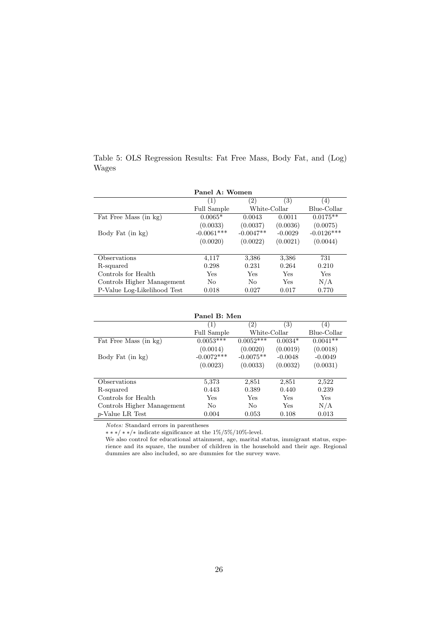|                             | Panel A: Women |              |           |              |
|-----------------------------|----------------|--------------|-----------|--------------|
|                             | (1)            | (2)          | (3)       | (4)          |
|                             | Full Sample    | White-Collar |           | Blue-Collar  |
| Fat Free Mass (in kg)       | $0.0065*$      | 0.0043       | 0.0011    | $0.0175**$   |
|                             | (0.0033)       | (0.0037)     | (0.0036)  | (0.0075)     |
| Body Fat (in kg)            | $-0.0061***$   | $-0.0047**$  | $-0.0029$ | $-0.0126***$ |
|                             | (0.0020)       | (0.0022)     | (0.0021)  | (0.0044)     |
|                             |                |              |           |              |
| Observations                | 4,117          | 3,386        | 3,386     | 731          |
| R-squared                   | 0.298          | 0.231        | 0.264     | 0.210        |
| Controls for Health         | Yes            | Yes          | Yes       | Yes          |
| Controls Higher Management  | No             | No           | Yes       | N/A          |
| P-Value Log-Likelihood Test | 0.018          | 0.027        | 0.017     | 0.770        |

|       |  | Table 5: OLS Regression Results: Fat Free Mass, Body Fat, and (Log) |  |  |  |  |
|-------|--|---------------------------------------------------------------------|--|--|--|--|
| Wages |  |                                                                     |  |  |  |  |

|                            | Panel B: Men   |                |           |             |
|----------------------------|----------------|----------------|-----------|-------------|
|                            | (1)            | (2)            | (3)       | (4)         |
|                            | Full Sample    | White-Collar   |           | Blue-Collar |
| Fat Free Mass (in kg)      | $0.0053***$    | $0.0052***$    | $0.0034*$ | $0.0041**$  |
|                            | (0.0014)       | (0.0020)       | (0.0019)  | (0.0018)    |
| Body Fat (in kg)           | $-0.0072***$   | $-0.0075**$    | $-0.0048$ | $-0.0049$   |
|                            | (0.0023)       | (0.0033)       | (0.0032)  | (0.0031)    |
|                            |                |                |           |             |
| Observations               | 5,373          | 2,851          | 2,851     | 2,522       |
| R-squared                  | 0.443          | 0.389          | 0.440     | 0.239       |
| Controls for Health        | Yes            | Yes            | Yes       | Yes         |
| Controls Higher Management | N <sub>0</sub> | N <sub>0</sub> | Yes       | N/A         |
| p-Value LR Test            | 0.004          | 0.053          | 0.108     | 0.013       |

Notes: Standard errors in parentheses

∗ ∗ ∗/ ∗ ∗/∗ indicate significance at the 1%/5%/10%-level.

We also control for educational attainment, age, marital status, immigrant status, experience and its square, the number of children in the household and their age. Regional dummies are also included, so are dummies for the survey wave.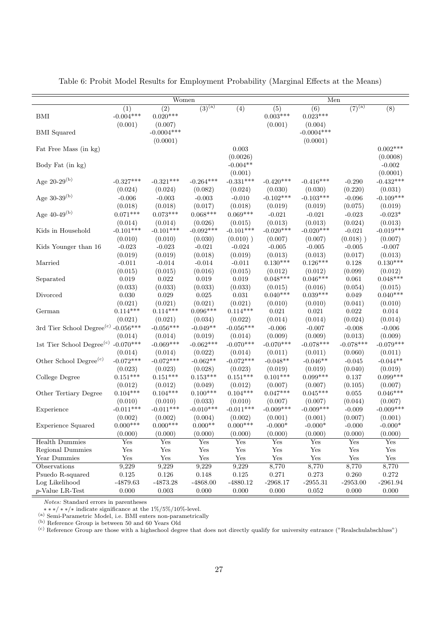| $\sqrt{(7)^{(a)}}$<br>$(3)^{(a)}$<br>(8)<br>(2)<br>(4)<br>(6)<br>(1)<br>(5)<br>$-0.004***$<br>$0.020***$<br>$0.003***$<br>$0.023***$<br>BMI<br>(0.001)<br>(0.001)<br>(0.007)<br>(0.004)<br>$-0.0004***$<br>$-0.0004***$<br><b>BMI</b> Squared<br>(0.0001)<br>(0.0001)<br>$0.002***$<br>0.003<br>Fat Free Mass (in kg)<br>(0.0026)<br>(0.0008)<br>$-0.004**$<br>$-0.002$<br>Body Fat (in kg) |
|---------------------------------------------------------------------------------------------------------------------------------------------------------------------------------------------------------------------------------------------------------------------------------------------------------------------------------------------------------------------------------------------|
|                                                                                                                                                                                                                                                                                                                                                                                             |
|                                                                                                                                                                                                                                                                                                                                                                                             |
|                                                                                                                                                                                                                                                                                                                                                                                             |
|                                                                                                                                                                                                                                                                                                                                                                                             |
|                                                                                                                                                                                                                                                                                                                                                                                             |
|                                                                                                                                                                                                                                                                                                                                                                                             |
|                                                                                                                                                                                                                                                                                                                                                                                             |
|                                                                                                                                                                                                                                                                                                                                                                                             |
| (0.0001)<br>(0.001)                                                                                                                                                                                                                                                                                                                                                                         |
| Age 20-29 <sup>(b)</sup><br>$-0.331***$<br>$-0.432***$<br>$-0.327***$<br>$-0.321***$<br>$-0.264***$<br>$-0.420***$<br>$-0.416***$<br>$-0.290$                                                                                                                                                                                                                                               |
| (0.220)<br>(0.031)<br>(0.024)<br>(0.024)<br>(0.082)<br>(0.024)<br>(0.030)<br>(0.030)                                                                                                                                                                                                                                                                                                        |
| Age $30-39^{(b)}$<br>$-0.103***$<br>$-0.109***$<br>$-0.003$<br>$-0.102***$<br>$-0.006$<br>$-0.003$<br>$-0.010$<br>$-0.096$                                                                                                                                                                                                                                                                  |
| (0.018)<br>(0.017)<br>(0.019)<br>(0.018)<br>(0.018)<br>(0.019)<br>(0.019)<br>(0.075)                                                                                                                                                                                                                                                                                                        |
| Age $40-49^{(b)}$<br>$0.071***$<br>$0.073***$<br>$0.068***$<br>$0.069***$<br>$-0.021$<br>$-0.021$<br>$-0.023$<br>$-0.023*$                                                                                                                                                                                                                                                                  |
| (0.014)<br>(0.014)<br>(0.026)<br>(0.013)<br>(0.013)<br>(0.024)<br>(0.013)<br>(0.015)                                                                                                                                                                                                                                                                                                        |
| $-0.020***$<br>$-0.101***$<br>$-0.101***$<br>$-0.092***$<br>$-0.101***$<br>$-0.020***$<br>$-0.021$<br>$-0.019***$<br>Kids in Household                                                                                                                                                                                                                                                      |
| (0.010)<br>(0.010)<br>(0.030)<br>$(0.010)$ )<br>(0.007)<br>(0.007)<br>$(0.018)$ )<br>(0.007)                                                                                                                                                                                                                                                                                                |
| $-0.023$<br>$-0.023$<br>$-0.021$<br>$-0.024$<br>$-0.005$<br>$-0.005$<br>$-0.005$<br>$-0.007$<br>Kids Younger than 16                                                                                                                                                                                                                                                                        |
| (0.019)<br>(0.018)<br>(0.019)<br>(0.019)<br>(0.013)<br>(0.013)<br>(0.017)<br>(0.013)                                                                                                                                                                                                                                                                                                        |
| $0.130***$<br>$0.126***$<br>$0.130***$<br>Married<br>$-0.011$<br>$-0.014$<br>$-0.011$<br>0.128<br>$-0.014$                                                                                                                                                                                                                                                                                  |
| (0.015)<br>(0.016)<br>(0.015)<br>(0.099)<br>(0.015)<br>(0.012)<br>(0.012)<br>(0.012)                                                                                                                                                                                                                                                                                                        |
| $0.048***$<br>$0.048***$<br>$0.046***$<br>$\,0.061\,$<br>0.019<br>0.022<br>0.019<br>0.019<br>Separated                                                                                                                                                                                                                                                                                      |
| (0.033)<br>(0.033)<br>(0.033)<br>(0.033)<br>(0.054)<br>(0.015)<br>(0.015)<br>(0.016)                                                                                                                                                                                                                                                                                                        |
| $0.039***$<br>$0.040***$<br>$0.040***$<br>0.030<br>0.029<br>0.025<br>0.031<br>0.049<br>Divorced                                                                                                                                                                                                                                                                                             |
| (0.021)<br>(0.021)<br>(0.021)<br>(0.010)<br>(0.041)<br>(0.021)<br>(0.010)<br>(0.010)                                                                                                                                                                                                                                                                                                        |
| $0.096***$<br>$0.114***$<br>$0.114***$<br>$0.114***$<br>0.021<br>0.021<br>0.022<br>0.014<br>German                                                                                                                                                                                                                                                                                          |
| (0.021)<br>(0.021)<br>(0.034)<br>(0.014)<br>(0.014)<br>(0.024)<br>(0.014)<br>(0.022)                                                                                                                                                                                                                                                                                                        |
| 3rd Tier School Degree <sup>(c)</sup> -0.056***<br>$-0.056***$<br>$-0.056***$<br>$-0.049**$<br>$-0.006$<br>$-0.007$<br>$-0.008$<br>$-0.006$                                                                                                                                                                                                                                                 |
| (0.014)<br>(0.019)<br>(0.009)<br>(0.009)<br>(0.013)<br>(0.009)<br>(0.014)<br>(0.014)                                                                                                                                                                                                                                                                                                        |
| 1st Tier School Degree <sup>(c)</sup> -0.070***<br>$-0.069***$<br>$-0.062***$<br>$-0.070***$<br>$-0.070***$<br>$-0.078***$<br>$-0.078***$<br>$-0.079***$                                                                                                                                                                                                                                    |
| (0.022)<br>(0.014)<br>(0.014)<br>(0.014)<br>(0.011)<br>(0.011)<br>(0.060)<br>(0.011)                                                                                                                                                                                                                                                                                                        |
| Other School Degree <sup>(c)</sup><br>$-0.072***$<br>$-0.072***$<br>$-0.072***$<br>$-0.048**$<br>$-0.062**$<br>$-0.046**$<br>$-0.044**$<br>$-0.045$                                                                                                                                                                                                                                         |
| (0.023)<br>(0.023)<br>(0.028)<br>(0.023)<br>(0.019)<br>(0.019)<br>(0.040)<br>(0.019)                                                                                                                                                                                                                                                                                                        |
| $0.151***$<br>$0.151***$<br>$0.153***$<br>$0.151***$<br>$0.101***$<br>$0.099***$<br>$0.099***$<br>$0.137\,$<br>College Degree                                                                                                                                                                                                                                                               |
| (0.012)<br>(0.012)<br>(0.007)<br>(0.007)<br>(0.105)<br>(0.007)<br>(0.049)<br>(0.012)                                                                                                                                                                                                                                                                                                        |
| $0.104***$<br>$0.100***$<br>$0.047***$<br>$0.046***$<br>$0.104***$<br>$0.104***$<br>$0.045***$<br>Other Tertiary Degree<br>0.055                                                                                                                                                                                                                                                            |
| (0.010)<br>(0.033)<br>(0.044)<br>(0.010)<br>(0.010)<br>(0.007)<br>(0.007)<br>(0.007)                                                                                                                                                                                                                                                                                                        |
| $-0.009***$<br>$-0.011***$<br>$-0.011***$<br>$-0.010***$<br>$-0.011***$<br>$-0.009***$<br>$-0.009***$<br>$-0.009$<br>Experience                                                                                                                                                                                                                                                             |
| (0.002)<br>(0.002)<br>(0.004)<br>(0.002)<br>(0.001)<br>(0.001)<br>(0.007)<br>(0.001)                                                                                                                                                                                                                                                                                                        |
| $0.000***$<br>$0.000***$<br>$0.000^{**}$<br>$0.000***$<br>$-0.000*$<br>$-0.000*$<br>$-0.000$<br>$-0.000*$<br><b>Experience Squared</b>                                                                                                                                                                                                                                                      |
| (0.000)<br>(0.000)<br>(0.000)<br>(0.000)<br>(0.000)<br>(0.000)<br>(0.000)<br>(0.000)                                                                                                                                                                                                                                                                                                        |
| Yes<br>Yes<br>Yes<br>Yes<br>Yes<br>Yes<br>Yes<br>Yes<br><b>Health Dummies</b>                                                                                                                                                                                                                                                                                                               |
| Regional Dummies<br>Yes<br>Yes<br>Yes<br>Yes<br>Yes<br>Yes<br>${\rm Yes}$<br>${\rm Yes}$                                                                                                                                                                                                                                                                                                    |
| Year Dummies<br>Yes<br>Yes<br>Yes<br>Yes<br>Yes<br>Yes<br>Yes<br>Yes                                                                                                                                                                                                                                                                                                                        |
| Observations<br>9,229<br>9,229<br>9,229<br>9,229<br>8,770<br>8,770<br>8,770<br>8,770                                                                                                                                                                                                                                                                                                        |
| Psuedo R-squared<br>$0.125\,$<br>$0.148\,$<br>$0.125\,$<br>0.260<br>$0.272\,$<br>0.126<br>0.271<br>0.273                                                                                                                                                                                                                                                                                    |
| Log Likelihood<br>$-4879.63$<br>$-4873.28$<br>$-4868.00$<br>$-4880.12$<br>$-2968.17$<br>$-2953.00$<br>$-2955.31$<br>$-2961.94$                                                                                                                                                                                                                                                              |
| $p$ -Value LR-Test<br>$0.003\,$<br>0.000<br>0.000<br>$0.052\,$<br>0.000<br>$0.000\,$<br>0.000<br>0.000                                                                                                                                                                                                                                                                                      |

Table 6: Probit Model Results for Employment Probability (Marginal Effects at the Means)

Notes: Standard errors in parentheses

∗ ∗ ∗/ ∗ ∗/∗ indicate significance at the 1%/5%/10%-level.

(a) Semi-Parametric Model, i.e. BMI enters non-parametrically

(b) Reference Group is between 50 and 60 Years Old

(c) Reference Group are those with a highschool degree that does not directly qualify for university entrance ("Realschulabschluss")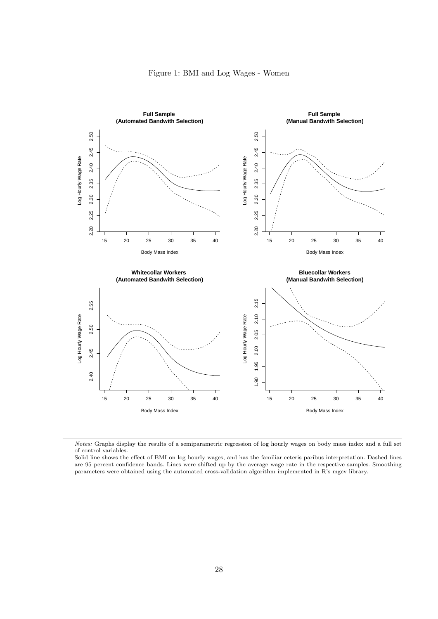

Notes: Graphs display the results of a semiparametric regression of log hourly wages on body mass index and a full set of control variables.

Solid line shows the effect of BMI on log hourly wages, and has the familiar ceteris paribus interpretation. Dashed lines are 95 percent confidence bands. Lines were shifted up by the average wage rate in the respective samples. Smoothing parameters were obtained using the automated cross-validation algorithm implemented in R's mgcv library.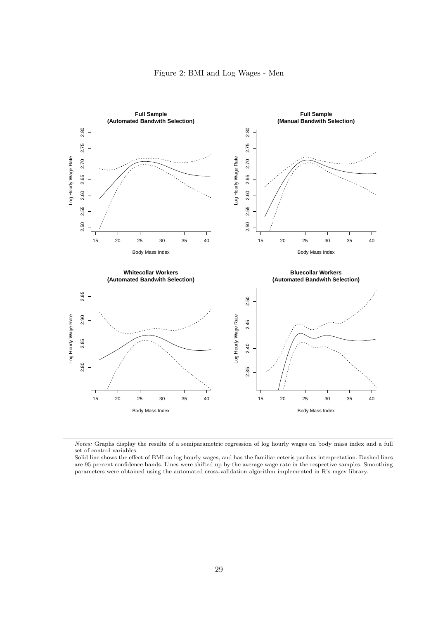



Notes: Graphs display the results of a semiparametric regression of log hourly wages on body mass index and a full set of control variables.

Solid line shows the effect of BMI on log hourly wages, and has the familiar ceteris paribus interpretation. Dashed lines are 95 percent confidence bands. Lines were shifted up by the average wage rate in the respective samples. Smoothing parameters were obtained using the automated cross-validation algorithm implemented in R's mgcv library.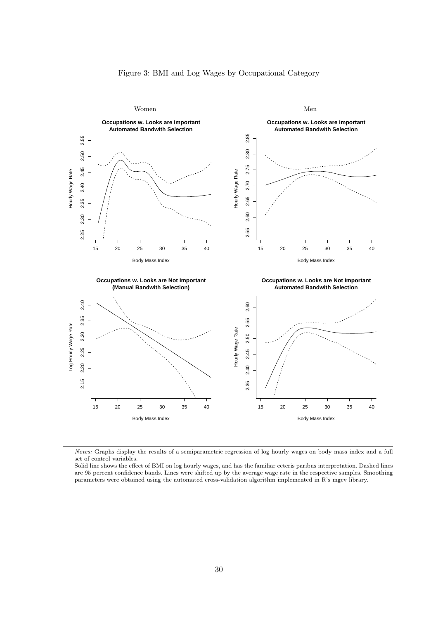



Notes: Graphs display the results of a semiparametric regression of log hourly wages on body mass index and a full set of control variables.

Solid line shows the effect of BMI on log hourly wages, and has the familiar ceteris paribus interpretation. Dashed lines are 95 percent confidence bands. Lines were shifted up by the average wage rate in the respective samples. Smoothing parameters were obtained using the automated cross-validation algorithm implemented in R's mgcv library.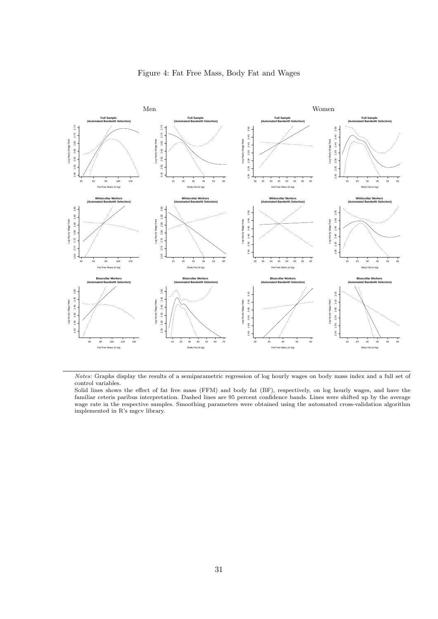

Notes: Graphs display the results of a semiparametric regression of log hourly wages on body mass index and a full set of control variables.

Solid lines shows the effect of fat free mass (FFM) and body fat (BF), respectively, on log hourly wages, and have the familiar ceteris paribus interpretation. Dashed lines are 95 percent confidence bands. Lines were shifted up by the average wage rate in the respective samples. Smoothing parameters were obtained using the automated cross-validation algorithm implemented in R's mgcv library.